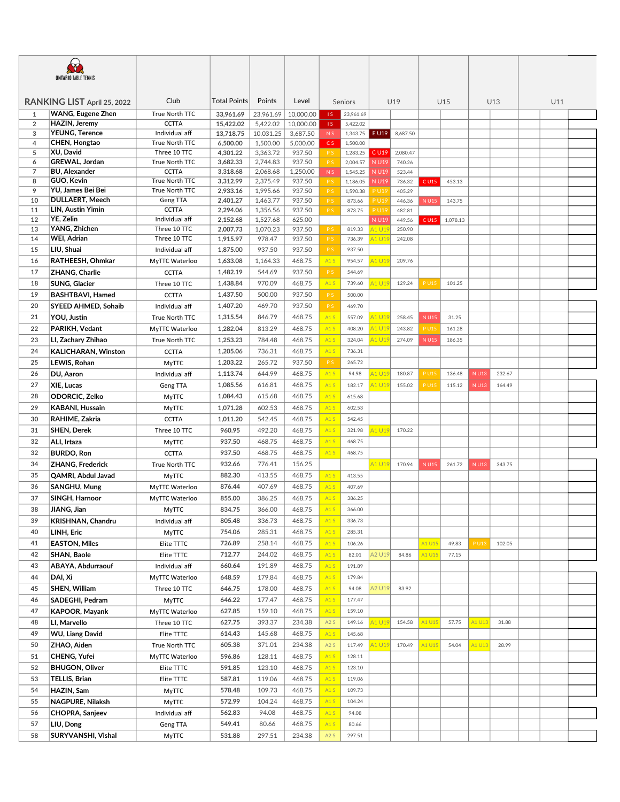| <b>ONTARIO TABLE TENNIS</b> |                             |                                |                      |                      |                    |                       |                      |                |                  |             |          |             |        |  |     |  |
|-----------------------------|-----------------------------|--------------------------------|----------------------|----------------------|--------------------|-----------------------|----------------------|----------------|------------------|-------------|----------|-------------|--------|--|-----|--|
|                             | RANKING LIST April 25, 2022 | Club                           | Total Points         | Points               | Level              |                       | Seniors              |                | U19              |             | U15      |             | U13    |  | U11 |  |
| 1                           | <b>WANG, Eugene Zhen</b>    | True North TTC                 | 33,961.69            | 23,961.69            | 10,000.00          | 1S                    | 23,961.69            |                |                  |             |          |             |        |  |     |  |
| $\overline{2}$              | HAZIN, Jeremy               | <b>CCTTA</b>                   | 15,422.02            | 5,422.02             | 10,000.00          | IS.                   | 5,422.02             |                |                  |             |          |             |        |  |     |  |
| 3                           | <b>YEUNG, Terence</b>       | Individual aff                 | 13,718.75            | 10,031.25            | 3,687.50           | N S                   | 1,343.75             | E U19          | 8,687.50         |             |          |             |        |  |     |  |
| $\overline{4}$              | CHEN, Hongtao               | True North TTC                 | 6,500.00             | 1,500.00             | 5,000.00           | C S                   | 1,500.00             |                |                  |             |          |             |        |  |     |  |
| 5                           | XU, David<br>GREWAL, Jordan | Three 10 TTC                   | 4,301.22             | 3,363.72             | 937.50             | P S                   | 1,283.25             | C U19          | 2,080.47         |             |          |             |        |  |     |  |
| 6<br>7                      | <b>BU, Alexander</b>        | True North TTC<br><b>CCTTA</b> | 3,682.33<br>3,318.68 | 2,744.83<br>2,068.68 | 937.50<br>1,250.00 | P S<br>N <sub>S</sub> | 2,004.57<br>1,545.25 | N U19<br>N U19 | 740.26<br>523.44 |             |          |             |        |  |     |  |
| 8                           | GUO, Kevin                  | True North TTC                 | 3,312.99             | 2,375.49             | 937.50             | P S                   | 1,186.05             | N U19          | 736.32           | $C$ U15     | 453.13   |             |        |  |     |  |
| 9                           | YU, James Bei Bei           | True North TTC                 | 2,933.16             | 1,995.66             | 937.50             | P S                   | 1,590.38             | <b>PU19</b>    | 405.29           |             |          |             |        |  |     |  |
| 10                          | <b>DULLAERT, Meech</b>      | Geng TTA                       | 2,401.27             | 1,463.77             | 937.50             | P S                   | 873.66               | <b>PU19</b>    | 446.36           | <b>NU15</b> | 143.75   |             |        |  |     |  |
| 11                          | LIN, Austin Yimin           | <b>CCTTA</b>                   | 2,294.06             | 1,356.56             | 937.50             | P S                   | 873.75               | <b>PU19</b>    | 482.81           |             |          |             |        |  |     |  |
| 12                          | <b>YE, Zelin</b>            | Individual aff                 | 2,152.68             | 1,527.68             | 625.00             |                       |                      | N U19          | 449.56           | C U15       | 1,078.13 |             |        |  |     |  |
| 13                          | YANG, Zhichen               | Three 10 TTC                   | 2,007.73             | 1,070.23             | 937.50             | P <sub>S</sub>        | 819.33               | 41 U19         | 250.90           |             |          |             |        |  |     |  |
| 14                          | WEI, Adrian                 | Three 10 TTC                   | 1,915.97             | 978.47               | 937.50             | P S                   | 736.39               | 41 U19         | 242.08           |             |          |             |        |  |     |  |
| 15                          | LIU, Shuai                  | Individual aff                 | 1,875.00             | 937.50               | 937.50             | P <sub>S</sub>        | 937.50               |                |                  |             |          |             |        |  |     |  |
| 16                          | RATHEESH, Ohmkar            | MyTTC Waterloo                 | 1,633.08             | 1,164.33             | 468.75             | A1S                   | 954.57               | 41 U19         | 209.76           |             |          |             |        |  |     |  |
| 17                          | ZHANG, Charlie              | <b>CCTTA</b>                   | 1,482.19             | 544.69               | 937.50             | P S                   | 544.69               |                |                  |             |          |             |        |  |     |  |
| 18                          | <b>SUNG, Glacier</b>        | Three 10 TTC                   | 1,438.84             | 970.09               | 468.75             | A1S                   | 739.60               | 41 U19         | 129.24           | <b>PU15</b> | 101.25   |             |        |  |     |  |
| 19                          | <b>BASHTBAVI, Hamed</b>     | <b>CCTTA</b>                   | 1,437.50             | 500.00               | 937.50             | P S                   | 500.00               |                |                  |             |          |             |        |  |     |  |
| 20                          | SYEED AHMED, Sohaib         | Individual aff                 | 1,407.20             | 469.70               | 937.50             | P S                   | 469.70               |                |                  |             |          |             |        |  |     |  |
| 21                          | YOU, Justin                 | True North TTC                 | 1,315.54             | 846.79               | 468.75             | A1S                   | 557.09               | A1 U19         | 258.45           | <b>NU15</b> | 31.25    |             |        |  |     |  |
| 22                          | PARIKH, Vedant              | MyTTC Waterloo                 | 1,282.04             | 813.29               | 468.75             | A1S                   | 408.20               | 41 U19         | 243.82           | <b>PU15</b> | 161.28   |             |        |  |     |  |
| 23                          | LI, Zachary Zhihao          | True North TTC                 | 1,253.23             | 784.48               | 468.75             | A1S                   | 324.04               | 41 U19         | 274.09           | N U15       | 186.35   |             |        |  |     |  |
| 24                          | KALICHARAN, Winston         | <b>CCTTA</b>                   | 1,205.06             | 736.31               | 468.75             | A1S                   | 736.31               |                |                  |             |          |             |        |  |     |  |
| 25                          | LEWIS, Rohan                | <b>MyTTC</b>                   | 1,203.22             | 265.72               | 937.50             | P S                   | 265.72               |                |                  |             |          |             |        |  |     |  |
| 26                          | DU, Aaron                   | Individual aff                 | 1,113.74             | 644.99               | 468.75             | A1S                   | 94.98                | 41 U19         | 180.87           | <b>PU15</b> | 136.48   | N U13       | 232.67 |  |     |  |
| 27                          | XIE, Lucas                  | Geng TTA                       | 1,085.56             | 616.81               | 468.75             | A1S                   | 182.17               | <b>1 U19</b>   | 155.02           | <b>PU15</b> | 115.12   | N U13       | 164.49 |  |     |  |
| 28                          | ODORCIC, Zelko              | <b>MyTTC</b>                   | 1,084.43             | 615.68               | 468.75             | A1S                   | 615.68               |                |                  |             |          |             |        |  |     |  |
| 29                          | <b>KABANI, Hussain</b>      | <b>MyTTC</b>                   | 1,071.28             | 602.53               | 468.75             | A1S                   | 602.53               |                |                  |             |          |             |        |  |     |  |
| 30                          | RAHIME, Zakria              | <b>CCTTA</b>                   | 1,011.20             | 542.45               | 468.75             | A1S                   | 542.45               |                |                  |             |          |             |        |  |     |  |
| 31                          | <b>SHEN, Derek</b>          | Three 10 TTC                   | 960.95               | 492.20               | 468.75             | A1S                   | 321.98               | 41 U19         | 170.22           |             |          |             |        |  |     |  |
| 32                          | ALI, Irtaza                 | <b>MyTTC</b>                   | 937.50               | 468.75               | 468.75             | A1S                   | 468.75               |                |                  |             |          |             |        |  |     |  |
| 32                          | <b>BURDO, Ron</b>           | <b>CCTTA</b>                   | 937.50               | 468.75               | 468.75             | A1S                   | 468.75               |                |                  |             |          |             |        |  |     |  |
| 34                          | <b>ZHANG, Frederick</b>     | True North TTC                 | 932.66               | 776.41               | 156.25             |                       |                      | A1 U19         | 170.94           | <b>NU15</b> | 261.72   | <b>NU13</b> | 343.75 |  |     |  |
| 35                          | QAMRI, Abdul Javad          | <b>MyTTC</b>                   | 882.30               | 413.55               | 468.75             | A1S                   | 413.55               |                |                  |             |          |             |        |  |     |  |
| 36                          | <b>SANGHU, Mung</b>         | MyTTC Waterloo                 | 876.44               | 407.69               | 468.75             | A1S                   | 407.69               |                |                  |             |          |             |        |  |     |  |
| 37                          | SINGH, Harnoor              | MyTTC Waterloo                 | 855.00               | 386.25               | 468.75             | A1S                   | 386.25               |                |                  |             |          |             |        |  |     |  |
| 38                          | JIANG, Jian                 | <b>MyTTC</b>                   | 834.75               | 366.00               | 468.75             | A1S                   | 366.00               |                |                  |             |          |             |        |  |     |  |
| 39                          | KRISHNAN, Chandru           | Individual aff                 | 805.48               | 336.73               | 468.75             | A1S                   | 336.73               |                |                  |             |          |             |        |  |     |  |
| 40                          | LINH, Eric                  | <b>MyTTC</b>                   | 754.06               | 285.31               | 468.75             | A1S                   | 285.31               |                |                  |             |          |             |        |  |     |  |
| 41                          | <b>EASTON, Miles</b>        | Elite TTTC                     | 726.89               | 258.14               | 468.75             | A1S                   | 106.26               |                |                  | A1 U15      | 49.83    | P U13       | 102.05 |  |     |  |
| 42                          | <b>SHAN, Baole</b>          | Elite TTTC                     | 712.77               | 244.02               | 468.75             | A1S                   | 82.01                | 42 U19         | 84.86            | A1 U15      | 77.15    |             |        |  |     |  |
| 43                          | ABAYA, Abdurraouf           | Individual aff                 | 660.64               | 191.89               | 468.75             | A1S                   | 191.89               |                |                  |             |          |             |        |  |     |  |
| 44                          | DAI, Xi                     | MyTTC Waterloo                 | 648.59               | 179.84               | 468.75             | A1S                   | 179.84               |                |                  |             |          |             |        |  |     |  |
| 45                          | SHEN, William               | Three 10 TTC                   | 646.75               | 178.00               | 468.75             | A1S                   | 94.08                | 42 U19         | 83.92            |             |          |             |        |  |     |  |
| 46                          | SADEGHI, Pedram             | <b>MyTTC</b>                   | 646.22               | 177.47               | 468.75             | A1S                   | 177.47               |                |                  |             |          |             |        |  |     |  |
| 47                          | KAPOOR, Mayank              | MyTTC Waterloo                 | 627.85               | 159.10               | 468.75             | A1S                   | 159.10               |                |                  |             |          |             |        |  |     |  |
| 48                          | LI, Marvello                | Three 10 TTC                   | 627.75               | 393.37               | 234.38             | A2S                   | 149.16               | <b>1 U19</b>   | 154.58           | A1 U15      | 57.75    | A1 U13      | 31.88  |  |     |  |
| 49                          | WU, Liang David             | Elite TTTC                     | 614.43               | 145.68               | 468.75             | A1S                   | 145.68               |                |                  |             |          |             |        |  |     |  |
| 50                          | ZHAO, Aiden                 | True North TTC                 | 605.38               | 371.01               | 234.38             | A2S                   | 117.49               | 41 U19         | 170.49           | A1 U15      | 54.04    | A1 U13      | 28.99  |  |     |  |
| 51                          | CHENG, Yufei                | MyTTC Waterloo                 | 596.86               | 128.11               | 468.75             | A1S                   | 128.11               |                |                  |             |          |             |        |  |     |  |
| 52                          | <b>BHUGON, Oliver</b>       | Elite TTTC                     | 591.85               | 123.10               | 468.75             | A1S                   | 123.10               |                |                  |             |          |             |        |  |     |  |
| 53                          | TELLIS, Brian               | Elite TTTC                     | 587.81               | 119.06               | 468.75             | A1S                   | 119.06               |                |                  |             |          |             |        |  |     |  |
| 54                          | HAZIN, Sam                  |                                | 578.48               | 109.73               | 468.75             | A1S                   | 109.73               |                |                  |             |          |             |        |  |     |  |
| 55                          |                             | <b>MyTTC</b>                   | 572.99               | 104.24               | 468.75             | A1S                   | 104.24               |                |                  |             |          |             |        |  |     |  |
|                             | NAGPURE, Nilaksh            | <b>MyTTC</b>                   |                      |                      |                    |                       |                      |                |                  |             |          |             |        |  |     |  |
| 56                          | CHOPRA, Sanjeev             | Individual aff                 | 562.83               | 94.08                | 468.75             | A1S                   | 94.08                |                |                  |             |          |             |        |  |     |  |
| 57                          | LIU, Dong                   | Geng TTA                       | 549.41               | 80.66                | 468.75             | A1S                   | 80.66                |                |                  |             |          |             |        |  |     |  |
| 58                          | SURYVANSHI, Vishal          | MyTTC                          | 531.88               | 297.51               | 234.38             | A2S                   | 297.51               |                |                  |             |          |             |        |  |     |  |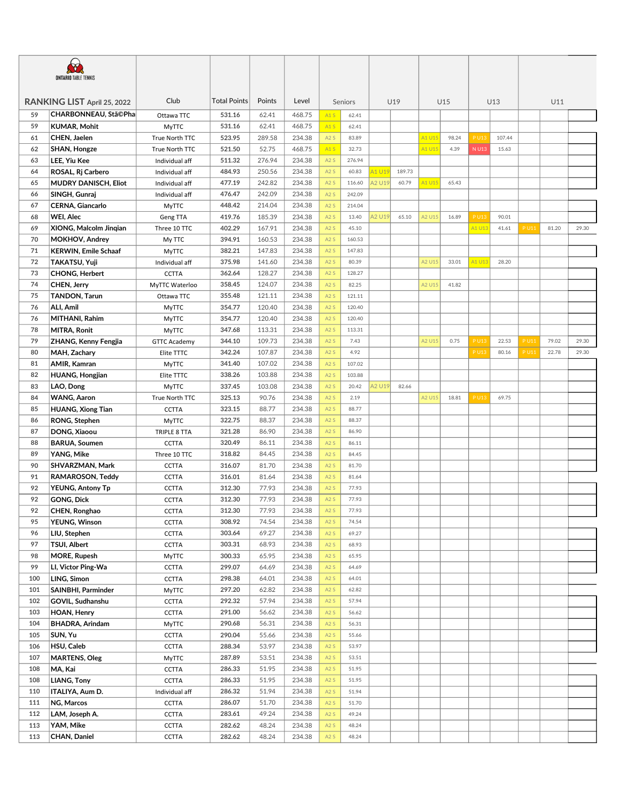| <b>ONTARIO TABLE TENNIS</b> |                             |                        |                     |        |        |                  |         |               |        |        |       |             |        |       |       |       |
|-----------------------------|-----------------------------|------------------------|---------------------|--------|--------|------------------|---------|---------------|--------|--------|-------|-------------|--------|-------|-------|-------|
|                             | RANKING LIST April 25, 2022 | Club                   | <b>Total Points</b> | Points | Level  |                  | Seniors |               | U19    |        | U15   |             | U13    | U11   |       |       |
| 59                          | CHARBONNEAU, Stã©Pha        | Ottawa TTC             | 531.16              | 62.41  | 468.75 | A1S              | 62.41   |               |        |        |       |             |        |       |       |       |
| 59                          | KUMAR, Mohit                | <b>MyTTC</b>           | 531.16              | 62.41  | 468.75 | A1S              | 62.41   |               |        |        |       |             |        |       |       |       |
| 61                          | CHEN, Jaelen                | True North TTC         | 523.95              | 289.58 | 234.38 | A2S              | 83.89   |               |        | A1 U15 | 98.24 | P U13       | 107.44 |       |       |       |
| 62                          | <b>SHAN, Hongze</b>         | True North TTC         | 521.50              | 52.75  | 468.75 | A1S              | 32.73   |               |        | A1 U15 | 4.39  | N U13       | 15.63  |       |       |       |
| 63                          | LEE, Yiu Kee                | Individual aff         | 511.32              | 276.94 | 234.38 | A2S              | 276.94  |               |        |        |       |             |        |       |       |       |
| 64                          | ROSAL, Rj Carbero           | Individual aff         | 484.93              | 250.56 | 234.38 | A2S              | 60.83   | A1 U19        | 189.73 |        |       |             |        |       |       |       |
| 65                          | <b>MUDRY DANISCH, Eliot</b> | Individual aff         | 477.19              | 242.82 | 234.38 | A2S              | 116.60  | <b>42 U19</b> | 60.79  | A1 U15 | 65.43 |             |        |       |       |       |
| 66                          | SINGH, Gunraj               | Individual aff         | 476.47              | 242.09 | 234.38 | A2S              | 242.09  |               |        |        |       |             |        |       |       |       |
| 67                          | CERNA, Giancarlo            | MyTTC                  | 448.42              | 214.04 | 234.38 | A2S              | 214.04  |               |        |        |       |             |        |       |       |       |
| 68                          | WEI, Alec                   | Geng TTA               | 419.76              | 185.39 | 234.38 | A2S              | 13.40   | <b>42 U19</b> | 65.10  | A2 U15 | 16.89 | P U13       | 90.01  |       |       |       |
| 69                          | XIONG, Malcolm Jingian      | Three 10 TTC           | 402.29              | 167.91 | 234.38 | A2S              | 45.10   |               |        |        |       | A1 U13      | 41.61  | P U11 | 81.20 | 29.30 |
| 70                          | <b>MOKHOV, Andrey</b>       |                        | 394.91              | 160.53 | 234.38 | A2S              | 160.53  |               |        |        |       |             |        |       |       |       |
| 71                          | <b>KERWIN, Emile Schaaf</b> | My TTC<br><b>MyTTC</b> | 382.21              | 147.83 | 234.38 | A2S              | 147.83  |               |        |        |       |             |        |       |       |       |
| 72                          | TAKATSU, Yuji               | Individual aff         | 375.98              | 141.60 | 234.38 | A2S              | 80.39   |               |        | A2 U15 | 33.01 | A1 U13      | 28.20  |       |       |       |
| 73                          | <b>CHONG, Herbert</b>       |                        | 362.64              | 128.27 | 234.38 | A2S              | 128.27  |               |        |        |       |             |        |       |       |       |
| 74                          |                             | <b>CCTTA</b>           | 358.45              |        | 234.38 | A2S              | 82.25   |               |        | A2 U15 | 41.82 |             |        |       |       |       |
|                             | CHEN, Jerry                 | MyTTC Waterloo         |                     | 124.07 |        |                  |         |               |        |        |       |             |        |       |       |       |
| 75                          | TANDON, Tarun               | Ottawa TTC             | 355.48              | 121.11 | 234.38 | A2S              | 121.11  |               |        |        |       |             |        |       |       |       |
| 76                          | ALI, Amil                   | <b>MyTTC</b>           | 354.77              | 120.40 | 234.38 | A2S              | 120.40  |               |        |        |       |             |        |       |       |       |
| 76                          | MITHANI, Rahim              | <b>MyTTC</b>           | 354.77              | 120.40 | 234.38 | A2S              | 120.40  |               |        |        |       |             |        |       |       |       |
| 78                          | <b>MITRA, Ronit</b>         | <b>MyTTC</b>           | 347.68              | 113.31 | 234.38 | A2S              | 113.31  |               |        |        |       |             |        |       |       |       |
| 79                          | ZHANG, Kenny Fengjia        | <b>GTTC Academy</b>    | 344.10              | 109.73 | 234.38 | A2S              | 7.43    |               |        | A2 U15 | 0.75  | <b>PU13</b> | 22.53  | P U11 | 79.02 | 29.30 |
| 80                          | MAH, Zachary                | Elite TTTC             | 342.24              | 107.87 | 234.38 | A2S              | 4.92    |               |        |        |       | P U13       | 80.16  | P U11 | 22.78 | 29.30 |
| 81                          | AMIR, Kamran                | MyTTC                  | 341.40              | 107.02 | 234.38 | A2S              | 107.02  |               |        |        |       |             |        |       |       |       |
| 82                          | <b>HUANG, Hongjian</b>      | Elite TTTC             | 338.26              | 103.88 | 234.38 | A2S              | 103.88  |               |        |        |       |             |        |       |       |       |
| 83                          | LAO, Dong                   | <b>MyTTC</b>           | 337.45              | 103.08 | 234.38 | A2S              | 20.42   | <b>42 U19</b> | 82.66  |        |       |             |        |       |       |       |
| 84                          | <b>WANG, Aaron</b>          | True North TTC         | 325.13              | 90.76  | 234.38 | A2S              | 2.19    |               |        | A2 U15 | 18.81 | P U13       | 69.75  |       |       |       |
| 85                          | <b>HUANG, Xiong Tian</b>    | <b>CCTTA</b>           | 323.15              | 88.77  | 234.38 | A2S              | 88.77   |               |        |        |       |             |        |       |       |       |
| 86                          | RONG, Stephen               | <b>MyTTC</b>           | 322.75              | 88.37  | 234.38 | A2S              | 88.37   |               |        |        |       |             |        |       |       |       |
| 87                          | DONG, Xiaoou                | TRIPLE 8 TTA           | 321.28              | 86.90  | 234.38 | A2S              | 86.90   |               |        |        |       |             |        |       |       |       |
| 88                          | <b>BARUA, Soumen</b>        | <b>CCTTA</b>           | 320.49              | 86.11  | 234.38 | A2S              | 86.11   |               |        |        |       |             |        |       |       |       |
| 89                          | YANG, Mike                  | Three 10 TTC           | 318.82              | 84.45  | 234.38 | A2S              | 84.45   |               |        |        |       |             |        |       |       |       |
| 90                          | SHVARZMAN, Mark             | <b>CCTTA</b>           | 316.07              | 81.70  | 234.38 | A2S              | 81.70   |               |        |        |       |             |        |       |       |       |
| 91                          | RAMAROSON, Teddy            | <b>CCTTA</b>           | 316.01              | 81.64  | 234.38 | A2S              | 81.64   |               |        |        |       |             |        |       |       |       |
| 92                          | <b>YEUNG, Antony Tp</b>     | <b>CCTTA</b>           | 312.30              | 77.93  | 234.38 | A2S              | 77.93   |               |        |        |       |             |        |       |       |       |
| 92                          | GONG, Dick                  | <b>CCTTA</b>           | 312.30              | 77.93  | 234.38 | A2S              | 77.93   |               |        |        |       |             |        |       |       |       |
| 92                          | CHEN, Ronghao               | CCTTA                  | 312.30              | 77.93  | 234.38 | A <sub>2</sub> S | 77.93   |               |        |        |       |             |        |       |       |       |
| 95                          | YEUNG, Winson               | <b>CCTTA</b>           | 308.92              | 74.54  | 234.38 | A2S              | 74.54   |               |        |        |       |             |        |       |       |       |
| 96                          | LIU, Stephen                | <b>CCTTA</b>           | 303.64              | 69.27  | 234.38 | A2S              | 69.27   |               |        |        |       |             |        |       |       |       |
| 97                          | TSUI, Albert                | <b>CCTTA</b>           | 303.31              | 68.93  | 234.38 | A2S              | 68.93   |               |        |        |       |             |        |       |       |       |
| 98                          | <b>MORE, Rupesh</b>         | <b>MyTTC</b>           | 300.33              | 65.95  | 234.38 | A2S              | 65.95   |               |        |        |       |             |        |       |       |       |
| 99                          | LI, Victor Ping-Wa          | <b>CCTTA</b>           | 299.07              | 64.69  | 234.38 | A2S              | 64.69   |               |        |        |       |             |        |       |       |       |
| 100                         | LING, Simon                 | <b>CCTTA</b>           | 298.38              | 64.01  | 234.38 | A2S              | 64.01   |               |        |        |       |             |        |       |       |       |
| 101                         | SAINBHI, Parminder          | <b>MyTTC</b>           | 297.20              | 62.82  | 234.38 | A2S              | 62.82   |               |        |        |       |             |        |       |       |       |
| 102                         | GOVIL, Sudhanshu            | <b>CCTTA</b>           | 292.32              | 57.94  | 234.38 | A2S              | 57.94   |               |        |        |       |             |        |       |       |       |
| 103                         | HOAN, Henry                 | <b>CCTTA</b>           | 291.00              | 56.62  | 234.38 | A2S              | 56.62   |               |        |        |       |             |        |       |       |       |
| 104                         | BHADRA, Arindam             | <b>MyTTC</b>           | 290.68              | 56.31  | 234.38 | A2S              | 56.31   |               |        |        |       |             |        |       |       |       |
| 105                         | SUN, Yu                     | <b>CCTTA</b>           | 290.04              | 55.66  | 234.38 | A2S              | 55.66   |               |        |        |       |             |        |       |       |       |
| 106                         | HSU, Caleb                  | <b>CCTTA</b>           | 288.34              | 53.97  | 234.38 | A2S              | 53.97   |               |        |        |       |             |        |       |       |       |
| 107                         | <b>MARTENS, Oleg</b>        | <b>MyTTC</b>           | 287.89              | 53.51  | 234.38 | A2S              | 53.51   |               |        |        |       |             |        |       |       |       |
| 108                         | MA, Kai                     | <b>CCTTA</b>           | 286.33              | 51.95  | 234.38 | A2S              | 51.95   |               |        |        |       |             |        |       |       |       |
| 108                         | LIANG, Tony                 | <b>CCTTA</b>           | 286.33              | 51.95  | 234.38 | A2S              | 51.95   |               |        |        |       |             |        |       |       |       |
| 110                         | ITALIYA, Aum D.             | Individual aff         | 286.32              | 51.94  | 234.38 | A2S              | 51.94   |               |        |        |       |             |        |       |       |       |
| 111                         | NG, Marcos                  | <b>CCTTA</b>           | 286.07              | 51.70  | 234.38 | A2S              | 51.70   |               |        |        |       |             |        |       |       |       |
| 112                         | LAM, Joseph A.              | <b>CCTTA</b>           | 283.61              | 49.24  | 234.38 | A2S              | 49.24   |               |        |        |       |             |        |       |       |       |
| 113                         | YAM, Mike                   | <b>CCTTA</b>           | 282.62              | 48.24  | 234.38 | A2S              | 48.24   |               |        |        |       |             |        |       |       |       |
| 113                         | CHAN, Daniel                | CCTTA                  | 282.62              | 48.24  | 234.38 | A2S              | 48.24   |               |        |        |       |             |        |       |       |       |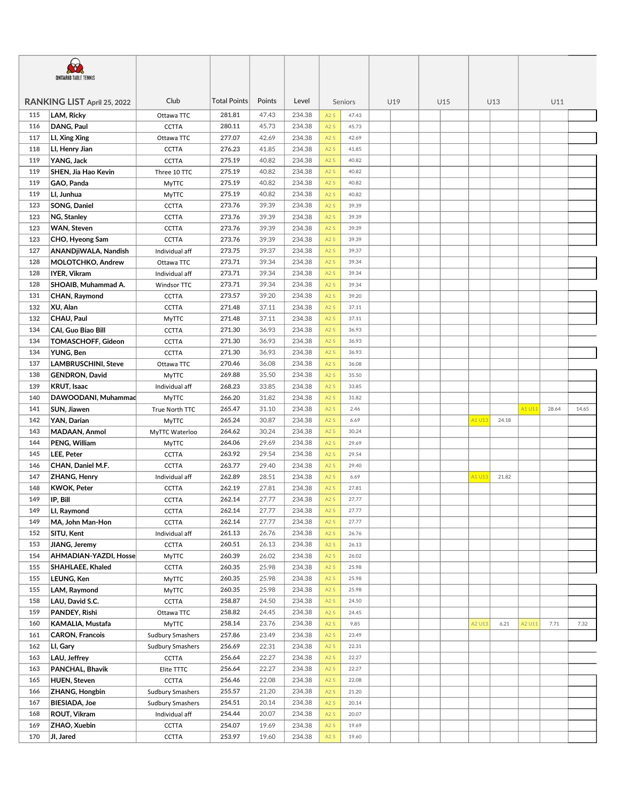| Club<br><b>Total Points</b><br>Points<br>Level<br>RANKING LIST April 25, 2022<br>U19<br>U15<br>U13<br>U11<br>Seniors<br>LAM, Ricky<br>115<br>281.81<br>47.43<br>234.38<br>A2S<br>Ottawa TTC<br>47.43<br>280.11<br>45.73<br>234.38<br>116<br>DANG, Paul<br>A2S<br>45.73<br><b>CCTTA</b><br>277.07<br>117<br>LI, Xing Xing<br>42.69<br>234.38<br>A2S<br>42.69<br>Ottawa TTC<br>234.38<br>118<br>276.23<br>41.85<br>A2S<br>LI, Henry Jian<br><b>CCTTA</b><br>41.85<br>275.19<br>234.38<br>119<br>YANG, Jack<br>40.82<br><b>CCTTA</b><br>A2S<br>40.82<br>275.19<br>40.82<br>234.38<br>119<br>SHEN, Jia Hao Kevin<br>Three 10 TTC<br>40.82<br>A2S<br>119<br>GAO, Panda<br>275.19<br>40.82<br>234.38<br><b>MyTTC</b><br>A2S<br>40.82<br>275.19<br>40.82<br>234.38<br>119<br>LI, Junhua<br>A2S<br>40.82<br><b>MyTTC</b><br>SONG, Daniel<br>273.76<br>234.38<br>123<br><b>CCTTA</b><br>39.39<br>A2S<br>39.39<br>273.76<br>123<br>NG, Stanley<br>39.39<br>234.38<br>A2S<br>39.39<br><b>CCTTA</b><br>273.76<br>234.38<br>123<br>WAN, Steven<br>39.39<br>A2S<br><b>CCTTA</b><br>39.39<br>273.76<br>234.38<br>123<br>CHO, Hyeong Sam<br><b>CCTTA</b><br>39.39<br>A2S<br>39.39<br>273.75<br>234.38<br>127<br>ANANDjiWALA, Nandish<br>39.37<br>Individual aff<br>A2S<br>39.37<br>273.71<br>128<br>MOLOTCHKO, Andrew<br>39.34<br>234.38<br>Ottawa TTC<br>A2S<br>39.34<br>273.71<br>39.34<br>234.38<br>128<br>IYER, Vikram<br>A2S<br>Individual aff<br>39.34<br>273.71<br>234.38<br>128<br>SHOAIB, Muhammad A.<br>39.34<br>Windsor TTC<br>A2S<br>39.34<br>273.57<br>234.38<br>131<br>CHAN, Raymond<br>39.20<br>A2S<br>39.20<br><b>CCTTA</b><br>132<br>XU, Alan<br>271.48<br>37.11<br>234.38<br>A2S<br><b>CCTTA</b><br>37.11<br>271.48<br>37.11<br>234.38<br>132<br>CHAU, Paul<br>A2S<br><b>MyTTC</b><br>37.11<br>271.30<br>36.93<br>234.38<br>134<br><b>CAI. Guo Biao Bill</b><br><b>CCTTA</b><br>A2S<br>36.93<br>234.38<br>134<br>TOMASCHOFF, Gideon<br>271.30<br>36.93<br><b>CCTTA</b><br>A2S<br>36.93<br>234.38<br>134<br>YUNG, Ben<br>271.30<br>36.93<br>A2S<br><b>CCTTA</b><br>36.93<br>234.38<br>137<br><b>LAMBRUSCHINI, Steve</b><br>270.46<br>36.08<br>Ottawa TTC<br>A2S<br>36.08<br>269.88<br>35.50<br>234.38<br>138<br><b>GENDRON, David</b><br>A2S<br>35.50<br><b>MyTTC</b><br>268.23<br>234.38<br>139<br>KRUT, Isaac<br>Individual aff<br>33.85<br>A2S<br>33.85<br>266.20<br>31.82<br>234.38<br>140<br>DAWOODANI, Muhammad<br>A2S<br>31.82<br><b>MyTTC</b><br>265.47<br>31.10<br>234.38<br>A1 U11<br>141<br>SUN, Jiawen<br>A2S<br>True North TTC<br>2.46<br>28.64<br>14.65<br>265.24<br>234.38<br>142<br>YAN, Darian<br>30.87<br>A2S<br>A1 U13<br><b>MyTTC</b><br>6.69<br>24.18<br>143<br>MADAAN, Anmol<br>264.62<br>30.24<br>234.38<br>A2S<br>30.24<br>MyTTC Waterloo<br>234.38<br>144<br>PENG, William<br>264.06<br>29.69<br>A2S<br>MyTTC<br>29.69<br>145<br>LEE, Peter<br>263.92<br>29.54<br>234.38<br>29.54<br><b>CCTTA</b><br>A2S<br>146<br>CHAN, Daniel M.F.<br>263.77<br>29.40<br>234.38<br><b>CCTTA</b><br>A2S<br>29.40<br>262.89<br>28.51<br>234.38<br>147<br><b>ZHANG, Henry</b><br>A2S<br>A1 U13<br>Individual aff<br>6.69<br>21.82<br><b>KWOK, Peter</b><br>262.19<br>27.81<br>234.38<br>148<br><b>CCTTA</b><br>A2S<br>27.81<br>149<br>IP, Bill<br>262.14<br>27.77<br>234.38<br>A2S<br>27.77<br><b>CCTTA</b><br>LI, Raymond<br>149<br>CCTTA<br>262.14<br>27.77<br>234.38<br>A <sub>2</sub> S<br>27.77<br>149<br>MA, John Man-Hon<br>262.14<br>27.77<br>234.38<br>A2S<br><b>CCTTA</b><br>27.77<br>152<br>SITU, Kent<br>261.13<br>26.76<br>234.38<br>Individual aff<br>A2S<br>26.76<br>153<br>JIANG, Jeremy<br>260.51<br>26.13<br>234.38<br>A2S<br><b>CCTTA</b><br>26.13<br>AHMADIAN-YAZDI, Hosse<br>260.39<br>26.02<br>234.38<br>154<br>A2S<br>26.02<br><b>MyTTC</b><br>260.35<br>25.98<br>234.38<br>155<br>SHAHLAEE, Khaled<br>A2S<br><b>CCTTA</b><br>25.98<br>LEUNG, Ken<br>260.35<br>25.98<br>234.38<br>155<br><b>MyTTC</b><br>A2S<br>25.98<br>155<br>LAM, Raymond<br>260.35<br>25.98<br>234.38<br>A2S<br><b>MyTTC</b><br>25.98<br>LAU, David S.C.<br>24.50<br>234.38<br>158<br>258.87<br>A2S<br>24.50<br><b>CCTTA</b><br>PANDEY, Rishi<br>234.38<br>159<br>258.82<br>24.45<br>Ottawa TTC<br>A2S<br>24.45<br>234.38<br>160<br>KAMALIA, Mustafa<br><b>MyTTC</b><br>258.14<br>23.76<br>A2S<br>9.85<br>A2 U13<br>6.21<br>A2 U11<br>7.71<br>7.32<br>257.86<br>234.38<br>161<br><b>CARON, Francois</b><br>23.49<br>A2S<br>23.49<br><b>Sudbury Smashers</b><br>256.69<br>22.31<br>234.38<br>162<br>LI, Gary<br>A2S<br>22.31<br><b>Sudbury Smashers</b><br>LAU, Jeffrey<br>256.64<br>22.27<br>234.38<br>163<br>22.27<br><b>CCTTA</b><br>A2S<br>163<br>PANCHAL, Bhavik<br>256.64<br>22.27<br>234.38<br>Elite TTTC<br>A2S<br>22.27<br>165<br><b>HUEN, Steven</b><br>256.46<br>22.08<br>234.38<br>A2S<br>22.08<br><b>CCTTA</b><br>255.57<br>21.20<br>234.38<br>166<br>ZHANG, Hongbin<br>A2S<br>21.20<br><b>Sudbury Smashers</b><br>167<br><b>BIESIADA, Joe</b><br>254.51<br>20.14<br>234.38<br>A2S<br><b>Sudbury Smashers</b><br>20.14<br>ROUT, Vikram<br>234.38<br>254.44<br>20.07<br>A2S<br>168<br>Individual aff<br>20.07<br>254.07<br>234.38<br>169<br>ZHAO, Xuebin<br>19.69<br><b>CCTTA</b><br>A2S<br>19.69<br>253.97<br>170<br>JI, Jared<br><b>CCTTA</b><br>19.60<br>234.38<br>19.60<br>A2S | <b>ONTARIO TABLE TENNIS</b> |  |  |  |  |  |  |  |  |  |  |  |  |
|---------------------------------------------------------------------------------------------------------------------------------------------------------------------------------------------------------------------------------------------------------------------------------------------------------------------------------------------------------------------------------------------------------------------------------------------------------------------------------------------------------------------------------------------------------------------------------------------------------------------------------------------------------------------------------------------------------------------------------------------------------------------------------------------------------------------------------------------------------------------------------------------------------------------------------------------------------------------------------------------------------------------------------------------------------------------------------------------------------------------------------------------------------------------------------------------------------------------------------------------------------------------------------------------------------------------------------------------------------------------------------------------------------------------------------------------------------------------------------------------------------------------------------------------------------------------------------------------------------------------------------------------------------------------------------------------------------------------------------------------------------------------------------------------------------------------------------------------------------------------------------------------------------------------------------------------------------------------------------------------------------------------------------------------------------------------------------------------------------------------------------------------------------------------------------------------------------------------------------------------------------------------------------------------------------------------------------------------------------------------------------------------------------------------------------------------------------------------------------------------------------------------------------------------------------------------------------------------------------------------------------------------------------------------------------------------------------------------------------------------------------------------------------------------------------------------------------------------------------------------------------------------------------------------------------------------------------------------------------------------------------------------------------------------------------------------------------------------------------------------------------------------------------------------------------------------------------------------------------------------------------------------------------------------------------------------------------------------------------------------------------------------------------------------------------------------------------------------------------------------------------------------------------------------------------------------------------------------------------------------------------------------------------------------------------------------------------------------------------------------------------------------------------------------------------------------------------------------------------------------------------------------------------------------------------------------------------------------------------------------------------------------------------------------------------------------------------------------------------------------------------------------------------------------------------------------------------------------------------------------------------------------------------------------------------------------------------------------------------------------------------------------------------------------------------------------------------------------------------------------------------------------------------------------------------------------------------------------------------------------------------------------------------------------------------------------------------------------------------------------------------------------------------------------------------------------------------------------------------------------------------------------------------------------------------------------------------------------------------------------------------------------------------------------------------------------------------------------------------------------------------------------------------------------------------------------------------------------------------------------------------------------------------------------------|-----------------------------|--|--|--|--|--|--|--|--|--|--|--|--|
|                                                                                                                                                                                                                                                                                                                                                                                                                                                                                                                                                                                                                                                                                                                                                                                                                                                                                                                                                                                                                                                                                                                                                                                                                                                                                                                                                                                                                                                                                                                                                                                                                                                                                                                                                                                                                                                                                                                                                                                                                                                                                                                                                                                                                                                                                                                                                                                                                                                                                                                                                                                                                                                                                                                                                                                                                                                                                                                                                                                                                                                                                                                                                                                                                                                                                                                                                                                                                                                                                                                                                                                                                                                                                                                                                                                                                                                                                                                                                                                                                                                                                                                                                                                                                                                                                                                                                                                                                                                                                                                                                                                                                                                                                                                                                                                                                                                                                                                                                                                                                                                                                                                                                                                                                                                                                                   |                             |  |  |  |  |  |  |  |  |  |  |  |  |
|                                                                                                                                                                                                                                                                                                                                                                                                                                                                                                                                                                                                                                                                                                                                                                                                                                                                                                                                                                                                                                                                                                                                                                                                                                                                                                                                                                                                                                                                                                                                                                                                                                                                                                                                                                                                                                                                                                                                                                                                                                                                                                                                                                                                                                                                                                                                                                                                                                                                                                                                                                                                                                                                                                                                                                                                                                                                                                                                                                                                                                                                                                                                                                                                                                                                                                                                                                                                                                                                                                                                                                                                                                                                                                                                                                                                                                                                                                                                                                                                                                                                                                                                                                                                                                                                                                                                                                                                                                                                                                                                                                                                                                                                                                                                                                                                                                                                                                                                                                                                                                                                                                                                                                                                                                                                                                   |                             |  |  |  |  |  |  |  |  |  |  |  |  |
|                                                                                                                                                                                                                                                                                                                                                                                                                                                                                                                                                                                                                                                                                                                                                                                                                                                                                                                                                                                                                                                                                                                                                                                                                                                                                                                                                                                                                                                                                                                                                                                                                                                                                                                                                                                                                                                                                                                                                                                                                                                                                                                                                                                                                                                                                                                                                                                                                                                                                                                                                                                                                                                                                                                                                                                                                                                                                                                                                                                                                                                                                                                                                                                                                                                                                                                                                                                                                                                                                                                                                                                                                                                                                                                                                                                                                                                                                                                                                                                                                                                                                                                                                                                                                                                                                                                                                                                                                                                                                                                                                                                                                                                                                                                                                                                                                                                                                                                                                                                                                                                                                                                                                                                                                                                                                                   |                             |  |  |  |  |  |  |  |  |  |  |  |  |
|                                                                                                                                                                                                                                                                                                                                                                                                                                                                                                                                                                                                                                                                                                                                                                                                                                                                                                                                                                                                                                                                                                                                                                                                                                                                                                                                                                                                                                                                                                                                                                                                                                                                                                                                                                                                                                                                                                                                                                                                                                                                                                                                                                                                                                                                                                                                                                                                                                                                                                                                                                                                                                                                                                                                                                                                                                                                                                                                                                                                                                                                                                                                                                                                                                                                                                                                                                                                                                                                                                                                                                                                                                                                                                                                                                                                                                                                                                                                                                                                                                                                                                                                                                                                                                                                                                                                                                                                                                                                                                                                                                                                                                                                                                                                                                                                                                                                                                                                                                                                                                                                                                                                                                                                                                                                                                   |                             |  |  |  |  |  |  |  |  |  |  |  |  |
|                                                                                                                                                                                                                                                                                                                                                                                                                                                                                                                                                                                                                                                                                                                                                                                                                                                                                                                                                                                                                                                                                                                                                                                                                                                                                                                                                                                                                                                                                                                                                                                                                                                                                                                                                                                                                                                                                                                                                                                                                                                                                                                                                                                                                                                                                                                                                                                                                                                                                                                                                                                                                                                                                                                                                                                                                                                                                                                                                                                                                                                                                                                                                                                                                                                                                                                                                                                                                                                                                                                                                                                                                                                                                                                                                                                                                                                                                                                                                                                                                                                                                                                                                                                                                                                                                                                                                                                                                                                                                                                                                                                                                                                                                                                                                                                                                                                                                                                                                                                                                                                                                                                                                                                                                                                                                                   |                             |  |  |  |  |  |  |  |  |  |  |  |  |
|                                                                                                                                                                                                                                                                                                                                                                                                                                                                                                                                                                                                                                                                                                                                                                                                                                                                                                                                                                                                                                                                                                                                                                                                                                                                                                                                                                                                                                                                                                                                                                                                                                                                                                                                                                                                                                                                                                                                                                                                                                                                                                                                                                                                                                                                                                                                                                                                                                                                                                                                                                                                                                                                                                                                                                                                                                                                                                                                                                                                                                                                                                                                                                                                                                                                                                                                                                                                                                                                                                                                                                                                                                                                                                                                                                                                                                                                                                                                                                                                                                                                                                                                                                                                                                                                                                                                                                                                                                                                                                                                                                                                                                                                                                                                                                                                                                                                                                                                                                                                                                                                                                                                                                                                                                                                                                   |                             |  |  |  |  |  |  |  |  |  |  |  |  |
|                                                                                                                                                                                                                                                                                                                                                                                                                                                                                                                                                                                                                                                                                                                                                                                                                                                                                                                                                                                                                                                                                                                                                                                                                                                                                                                                                                                                                                                                                                                                                                                                                                                                                                                                                                                                                                                                                                                                                                                                                                                                                                                                                                                                                                                                                                                                                                                                                                                                                                                                                                                                                                                                                                                                                                                                                                                                                                                                                                                                                                                                                                                                                                                                                                                                                                                                                                                                                                                                                                                                                                                                                                                                                                                                                                                                                                                                                                                                                                                                                                                                                                                                                                                                                                                                                                                                                                                                                                                                                                                                                                                                                                                                                                                                                                                                                                                                                                                                                                                                                                                                                                                                                                                                                                                                                                   |                             |  |  |  |  |  |  |  |  |  |  |  |  |
|                                                                                                                                                                                                                                                                                                                                                                                                                                                                                                                                                                                                                                                                                                                                                                                                                                                                                                                                                                                                                                                                                                                                                                                                                                                                                                                                                                                                                                                                                                                                                                                                                                                                                                                                                                                                                                                                                                                                                                                                                                                                                                                                                                                                                                                                                                                                                                                                                                                                                                                                                                                                                                                                                                                                                                                                                                                                                                                                                                                                                                                                                                                                                                                                                                                                                                                                                                                                                                                                                                                                                                                                                                                                                                                                                                                                                                                                                                                                                                                                                                                                                                                                                                                                                                                                                                                                                                                                                                                                                                                                                                                                                                                                                                                                                                                                                                                                                                                                                                                                                                                                                                                                                                                                                                                                                                   |                             |  |  |  |  |  |  |  |  |  |  |  |  |
|                                                                                                                                                                                                                                                                                                                                                                                                                                                                                                                                                                                                                                                                                                                                                                                                                                                                                                                                                                                                                                                                                                                                                                                                                                                                                                                                                                                                                                                                                                                                                                                                                                                                                                                                                                                                                                                                                                                                                                                                                                                                                                                                                                                                                                                                                                                                                                                                                                                                                                                                                                                                                                                                                                                                                                                                                                                                                                                                                                                                                                                                                                                                                                                                                                                                                                                                                                                                                                                                                                                                                                                                                                                                                                                                                                                                                                                                                                                                                                                                                                                                                                                                                                                                                                                                                                                                                                                                                                                                                                                                                                                                                                                                                                                                                                                                                                                                                                                                                                                                                                                                                                                                                                                                                                                                                                   |                             |  |  |  |  |  |  |  |  |  |  |  |  |
|                                                                                                                                                                                                                                                                                                                                                                                                                                                                                                                                                                                                                                                                                                                                                                                                                                                                                                                                                                                                                                                                                                                                                                                                                                                                                                                                                                                                                                                                                                                                                                                                                                                                                                                                                                                                                                                                                                                                                                                                                                                                                                                                                                                                                                                                                                                                                                                                                                                                                                                                                                                                                                                                                                                                                                                                                                                                                                                                                                                                                                                                                                                                                                                                                                                                                                                                                                                                                                                                                                                                                                                                                                                                                                                                                                                                                                                                                                                                                                                                                                                                                                                                                                                                                                                                                                                                                                                                                                                                                                                                                                                                                                                                                                                                                                                                                                                                                                                                                                                                                                                                                                                                                                                                                                                                                                   |                             |  |  |  |  |  |  |  |  |  |  |  |  |
|                                                                                                                                                                                                                                                                                                                                                                                                                                                                                                                                                                                                                                                                                                                                                                                                                                                                                                                                                                                                                                                                                                                                                                                                                                                                                                                                                                                                                                                                                                                                                                                                                                                                                                                                                                                                                                                                                                                                                                                                                                                                                                                                                                                                                                                                                                                                                                                                                                                                                                                                                                                                                                                                                                                                                                                                                                                                                                                                                                                                                                                                                                                                                                                                                                                                                                                                                                                                                                                                                                                                                                                                                                                                                                                                                                                                                                                                                                                                                                                                                                                                                                                                                                                                                                                                                                                                                                                                                                                                                                                                                                                                                                                                                                                                                                                                                                                                                                                                                                                                                                                                                                                                                                                                                                                                                                   |                             |  |  |  |  |  |  |  |  |  |  |  |  |
|                                                                                                                                                                                                                                                                                                                                                                                                                                                                                                                                                                                                                                                                                                                                                                                                                                                                                                                                                                                                                                                                                                                                                                                                                                                                                                                                                                                                                                                                                                                                                                                                                                                                                                                                                                                                                                                                                                                                                                                                                                                                                                                                                                                                                                                                                                                                                                                                                                                                                                                                                                                                                                                                                                                                                                                                                                                                                                                                                                                                                                                                                                                                                                                                                                                                                                                                                                                                                                                                                                                                                                                                                                                                                                                                                                                                                                                                                                                                                                                                                                                                                                                                                                                                                                                                                                                                                                                                                                                                                                                                                                                                                                                                                                                                                                                                                                                                                                                                                                                                                                                                                                                                                                                                                                                                                                   |                             |  |  |  |  |  |  |  |  |  |  |  |  |
|                                                                                                                                                                                                                                                                                                                                                                                                                                                                                                                                                                                                                                                                                                                                                                                                                                                                                                                                                                                                                                                                                                                                                                                                                                                                                                                                                                                                                                                                                                                                                                                                                                                                                                                                                                                                                                                                                                                                                                                                                                                                                                                                                                                                                                                                                                                                                                                                                                                                                                                                                                                                                                                                                                                                                                                                                                                                                                                                                                                                                                                                                                                                                                                                                                                                                                                                                                                                                                                                                                                                                                                                                                                                                                                                                                                                                                                                                                                                                                                                                                                                                                                                                                                                                                                                                                                                                                                                                                                                                                                                                                                                                                                                                                                                                                                                                                                                                                                                                                                                                                                                                                                                                                                                                                                                                                   |                             |  |  |  |  |  |  |  |  |  |  |  |  |
|                                                                                                                                                                                                                                                                                                                                                                                                                                                                                                                                                                                                                                                                                                                                                                                                                                                                                                                                                                                                                                                                                                                                                                                                                                                                                                                                                                                                                                                                                                                                                                                                                                                                                                                                                                                                                                                                                                                                                                                                                                                                                                                                                                                                                                                                                                                                                                                                                                                                                                                                                                                                                                                                                                                                                                                                                                                                                                                                                                                                                                                                                                                                                                                                                                                                                                                                                                                                                                                                                                                                                                                                                                                                                                                                                                                                                                                                                                                                                                                                                                                                                                                                                                                                                                                                                                                                                                                                                                                                                                                                                                                                                                                                                                                                                                                                                                                                                                                                                                                                                                                                                                                                                                                                                                                                                                   |                             |  |  |  |  |  |  |  |  |  |  |  |  |
|                                                                                                                                                                                                                                                                                                                                                                                                                                                                                                                                                                                                                                                                                                                                                                                                                                                                                                                                                                                                                                                                                                                                                                                                                                                                                                                                                                                                                                                                                                                                                                                                                                                                                                                                                                                                                                                                                                                                                                                                                                                                                                                                                                                                                                                                                                                                                                                                                                                                                                                                                                                                                                                                                                                                                                                                                                                                                                                                                                                                                                                                                                                                                                                                                                                                                                                                                                                                                                                                                                                                                                                                                                                                                                                                                                                                                                                                                                                                                                                                                                                                                                                                                                                                                                                                                                                                                                                                                                                                                                                                                                                                                                                                                                                                                                                                                                                                                                                                                                                                                                                                                                                                                                                                                                                                                                   |                             |  |  |  |  |  |  |  |  |  |  |  |  |
|                                                                                                                                                                                                                                                                                                                                                                                                                                                                                                                                                                                                                                                                                                                                                                                                                                                                                                                                                                                                                                                                                                                                                                                                                                                                                                                                                                                                                                                                                                                                                                                                                                                                                                                                                                                                                                                                                                                                                                                                                                                                                                                                                                                                                                                                                                                                                                                                                                                                                                                                                                                                                                                                                                                                                                                                                                                                                                                                                                                                                                                                                                                                                                                                                                                                                                                                                                                                                                                                                                                                                                                                                                                                                                                                                                                                                                                                                                                                                                                                                                                                                                                                                                                                                                                                                                                                                                                                                                                                                                                                                                                                                                                                                                                                                                                                                                                                                                                                                                                                                                                                                                                                                                                                                                                                                                   |                             |  |  |  |  |  |  |  |  |  |  |  |  |
|                                                                                                                                                                                                                                                                                                                                                                                                                                                                                                                                                                                                                                                                                                                                                                                                                                                                                                                                                                                                                                                                                                                                                                                                                                                                                                                                                                                                                                                                                                                                                                                                                                                                                                                                                                                                                                                                                                                                                                                                                                                                                                                                                                                                                                                                                                                                                                                                                                                                                                                                                                                                                                                                                                                                                                                                                                                                                                                                                                                                                                                                                                                                                                                                                                                                                                                                                                                                                                                                                                                                                                                                                                                                                                                                                                                                                                                                                                                                                                                                                                                                                                                                                                                                                                                                                                                                                                                                                                                                                                                                                                                                                                                                                                                                                                                                                                                                                                                                                                                                                                                                                                                                                                                                                                                                                                   |                             |  |  |  |  |  |  |  |  |  |  |  |  |
|                                                                                                                                                                                                                                                                                                                                                                                                                                                                                                                                                                                                                                                                                                                                                                                                                                                                                                                                                                                                                                                                                                                                                                                                                                                                                                                                                                                                                                                                                                                                                                                                                                                                                                                                                                                                                                                                                                                                                                                                                                                                                                                                                                                                                                                                                                                                                                                                                                                                                                                                                                                                                                                                                                                                                                                                                                                                                                                                                                                                                                                                                                                                                                                                                                                                                                                                                                                                                                                                                                                                                                                                                                                                                                                                                                                                                                                                                                                                                                                                                                                                                                                                                                                                                                                                                                                                                                                                                                                                                                                                                                                                                                                                                                                                                                                                                                                                                                                                                                                                                                                                                                                                                                                                                                                                                                   |                             |  |  |  |  |  |  |  |  |  |  |  |  |
|                                                                                                                                                                                                                                                                                                                                                                                                                                                                                                                                                                                                                                                                                                                                                                                                                                                                                                                                                                                                                                                                                                                                                                                                                                                                                                                                                                                                                                                                                                                                                                                                                                                                                                                                                                                                                                                                                                                                                                                                                                                                                                                                                                                                                                                                                                                                                                                                                                                                                                                                                                                                                                                                                                                                                                                                                                                                                                                                                                                                                                                                                                                                                                                                                                                                                                                                                                                                                                                                                                                                                                                                                                                                                                                                                                                                                                                                                                                                                                                                                                                                                                                                                                                                                                                                                                                                                                                                                                                                                                                                                                                                                                                                                                                                                                                                                                                                                                                                                                                                                                                                                                                                                                                                                                                                                                   |                             |  |  |  |  |  |  |  |  |  |  |  |  |
|                                                                                                                                                                                                                                                                                                                                                                                                                                                                                                                                                                                                                                                                                                                                                                                                                                                                                                                                                                                                                                                                                                                                                                                                                                                                                                                                                                                                                                                                                                                                                                                                                                                                                                                                                                                                                                                                                                                                                                                                                                                                                                                                                                                                                                                                                                                                                                                                                                                                                                                                                                                                                                                                                                                                                                                                                                                                                                                                                                                                                                                                                                                                                                                                                                                                                                                                                                                                                                                                                                                                                                                                                                                                                                                                                                                                                                                                                                                                                                                                                                                                                                                                                                                                                                                                                                                                                                                                                                                                                                                                                                                                                                                                                                                                                                                                                                                                                                                                                                                                                                                                                                                                                                                                                                                                                                   |                             |  |  |  |  |  |  |  |  |  |  |  |  |
|                                                                                                                                                                                                                                                                                                                                                                                                                                                                                                                                                                                                                                                                                                                                                                                                                                                                                                                                                                                                                                                                                                                                                                                                                                                                                                                                                                                                                                                                                                                                                                                                                                                                                                                                                                                                                                                                                                                                                                                                                                                                                                                                                                                                                                                                                                                                                                                                                                                                                                                                                                                                                                                                                                                                                                                                                                                                                                                                                                                                                                                                                                                                                                                                                                                                                                                                                                                                                                                                                                                                                                                                                                                                                                                                                                                                                                                                                                                                                                                                                                                                                                                                                                                                                                                                                                                                                                                                                                                                                                                                                                                                                                                                                                                                                                                                                                                                                                                                                                                                                                                                                                                                                                                                                                                                                                   |                             |  |  |  |  |  |  |  |  |  |  |  |  |
|                                                                                                                                                                                                                                                                                                                                                                                                                                                                                                                                                                                                                                                                                                                                                                                                                                                                                                                                                                                                                                                                                                                                                                                                                                                                                                                                                                                                                                                                                                                                                                                                                                                                                                                                                                                                                                                                                                                                                                                                                                                                                                                                                                                                                                                                                                                                                                                                                                                                                                                                                                                                                                                                                                                                                                                                                                                                                                                                                                                                                                                                                                                                                                                                                                                                                                                                                                                                                                                                                                                                                                                                                                                                                                                                                                                                                                                                                                                                                                                                                                                                                                                                                                                                                                                                                                                                                                                                                                                                                                                                                                                                                                                                                                                                                                                                                                                                                                                                                                                                                                                                                                                                                                                                                                                                                                   |                             |  |  |  |  |  |  |  |  |  |  |  |  |
|                                                                                                                                                                                                                                                                                                                                                                                                                                                                                                                                                                                                                                                                                                                                                                                                                                                                                                                                                                                                                                                                                                                                                                                                                                                                                                                                                                                                                                                                                                                                                                                                                                                                                                                                                                                                                                                                                                                                                                                                                                                                                                                                                                                                                                                                                                                                                                                                                                                                                                                                                                                                                                                                                                                                                                                                                                                                                                                                                                                                                                                                                                                                                                                                                                                                                                                                                                                                                                                                                                                                                                                                                                                                                                                                                                                                                                                                                                                                                                                                                                                                                                                                                                                                                                                                                                                                                                                                                                                                                                                                                                                                                                                                                                                                                                                                                                                                                                                                                                                                                                                                                                                                                                                                                                                                                                   |                             |  |  |  |  |  |  |  |  |  |  |  |  |
|                                                                                                                                                                                                                                                                                                                                                                                                                                                                                                                                                                                                                                                                                                                                                                                                                                                                                                                                                                                                                                                                                                                                                                                                                                                                                                                                                                                                                                                                                                                                                                                                                                                                                                                                                                                                                                                                                                                                                                                                                                                                                                                                                                                                                                                                                                                                                                                                                                                                                                                                                                                                                                                                                                                                                                                                                                                                                                                                                                                                                                                                                                                                                                                                                                                                                                                                                                                                                                                                                                                                                                                                                                                                                                                                                                                                                                                                                                                                                                                                                                                                                                                                                                                                                                                                                                                                                                                                                                                                                                                                                                                                                                                                                                                                                                                                                                                                                                                                                                                                                                                                                                                                                                                                                                                                                                   |                             |  |  |  |  |  |  |  |  |  |  |  |  |
|                                                                                                                                                                                                                                                                                                                                                                                                                                                                                                                                                                                                                                                                                                                                                                                                                                                                                                                                                                                                                                                                                                                                                                                                                                                                                                                                                                                                                                                                                                                                                                                                                                                                                                                                                                                                                                                                                                                                                                                                                                                                                                                                                                                                                                                                                                                                                                                                                                                                                                                                                                                                                                                                                                                                                                                                                                                                                                                                                                                                                                                                                                                                                                                                                                                                                                                                                                                                                                                                                                                                                                                                                                                                                                                                                                                                                                                                                                                                                                                                                                                                                                                                                                                                                                                                                                                                                                                                                                                                                                                                                                                                                                                                                                                                                                                                                                                                                                                                                                                                                                                                                                                                                                                                                                                                                                   |                             |  |  |  |  |  |  |  |  |  |  |  |  |
|                                                                                                                                                                                                                                                                                                                                                                                                                                                                                                                                                                                                                                                                                                                                                                                                                                                                                                                                                                                                                                                                                                                                                                                                                                                                                                                                                                                                                                                                                                                                                                                                                                                                                                                                                                                                                                                                                                                                                                                                                                                                                                                                                                                                                                                                                                                                                                                                                                                                                                                                                                                                                                                                                                                                                                                                                                                                                                                                                                                                                                                                                                                                                                                                                                                                                                                                                                                                                                                                                                                                                                                                                                                                                                                                                                                                                                                                                                                                                                                                                                                                                                                                                                                                                                                                                                                                                                                                                                                                                                                                                                                                                                                                                                                                                                                                                                                                                                                                                                                                                                                                                                                                                                                                                                                                                                   |                             |  |  |  |  |  |  |  |  |  |  |  |  |
|                                                                                                                                                                                                                                                                                                                                                                                                                                                                                                                                                                                                                                                                                                                                                                                                                                                                                                                                                                                                                                                                                                                                                                                                                                                                                                                                                                                                                                                                                                                                                                                                                                                                                                                                                                                                                                                                                                                                                                                                                                                                                                                                                                                                                                                                                                                                                                                                                                                                                                                                                                                                                                                                                                                                                                                                                                                                                                                                                                                                                                                                                                                                                                                                                                                                                                                                                                                                                                                                                                                                                                                                                                                                                                                                                                                                                                                                                                                                                                                                                                                                                                                                                                                                                                                                                                                                                                                                                                                                                                                                                                                                                                                                                                                                                                                                                                                                                                                                                                                                                                                                                                                                                                                                                                                                                                   |                             |  |  |  |  |  |  |  |  |  |  |  |  |
|                                                                                                                                                                                                                                                                                                                                                                                                                                                                                                                                                                                                                                                                                                                                                                                                                                                                                                                                                                                                                                                                                                                                                                                                                                                                                                                                                                                                                                                                                                                                                                                                                                                                                                                                                                                                                                                                                                                                                                                                                                                                                                                                                                                                                                                                                                                                                                                                                                                                                                                                                                                                                                                                                                                                                                                                                                                                                                                                                                                                                                                                                                                                                                                                                                                                                                                                                                                                                                                                                                                                                                                                                                                                                                                                                                                                                                                                                                                                                                                                                                                                                                                                                                                                                                                                                                                                                                                                                                                                                                                                                                                                                                                                                                                                                                                                                                                                                                                                                                                                                                                                                                                                                                                                                                                                                                   |                             |  |  |  |  |  |  |  |  |  |  |  |  |
|                                                                                                                                                                                                                                                                                                                                                                                                                                                                                                                                                                                                                                                                                                                                                                                                                                                                                                                                                                                                                                                                                                                                                                                                                                                                                                                                                                                                                                                                                                                                                                                                                                                                                                                                                                                                                                                                                                                                                                                                                                                                                                                                                                                                                                                                                                                                                                                                                                                                                                                                                                                                                                                                                                                                                                                                                                                                                                                                                                                                                                                                                                                                                                                                                                                                                                                                                                                                                                                                                                                                                                                                                                                                                                                                                                                                                                                                                                                                                                                                                                                                                                                                                                                                                                                                                                                                                                                                                                                                                                                                                                                                                                                                                                                                                                                                                                                                                                                                                                                                                                                                                                                                                                                                                                                                                                   |                             |  |  |  |  |  |  |  |  |  |  |  |  |
|                                                                                                                                                                                                                                                                                                                                                                                                                                                                                                                                                                                                                                                                                                                                                                                                                                                                                                                                                                                                                                                                                                                                                                                                                                                                                                                                                                                                                                                                                                                                                                                                                                                                                                                                                                                                                                                                                                                                                                                                                                                                                                                                                                                                                                                                                                                                                                                                                                                                                                                                                                                                                                                                                                                                                                                                                                                                                                                                                                                                                                                                                                                                                                                                                                                                                                                                                                                                                                                                                                                                                                                                                                                                                                                                                                                                                                                                                                                                                                                                                                                                                                                                                                                                                                                                                                                                                                                                                                                                                                                                                                                                                                                                                                                                                                                                                                                                                                                                                                                                                                                                                                                                                                                                                                                                                                   |                             |  |  |  |  |  |  |  |  |  |  |  |  |
|                                                                                                                                                                                                                                                                                                                                                                                                                                                                                                                                                                                                                                                                                                                                                                                                                                                                                                                                                                                                                                                                                                                                                                                                                                                                                                                                                                                                                                                                                                                                                                                                                                                                                                                                                                                                                                                                                                                                                                                                                                                                                                                                                                                                                                                                                                                                                                                                                                                                                                                                                                                                                                                                                                                                                                                                                                                                                                                                                                                                                                                                                                                                                                                                                                                                                                                                                                                                                                                                                                                                                                                                                                                                                                                                                                                                                                                                                                                                                                                                                                                                                                                                                                                                                                                                                                                                                                                                                                                                                                                                                                                                                                                                                                                                                                                                                                                                                                                                                                                                                                                                                                                                                                                                                                                                                                   |                             |  |  |  |  |  |  |  |  |  |  |  |  |
|                                                                                                                                                                                                                                                                                                                                                                                                                                                                                                                                                                                                                                                                                                                                                                                                                                                                                                                                                                                                                                                                                                                                                                                                                                                                                                                                                                                                                                                                                                                                                                                                                                                                                                                                                                                                                                                                                                                                                                                                                                                                                                                                                                                                                                                                                                                                                                                                                                                                                                                                                                                                                                                                                                                                                                                                                                                                                                                                                                                                                                                                                                                                                                                                                                                                                                                                                                                                                                                                                                                                                                                                                                                                                                                                                                                                                                                                                                                                                                                                                                                                                                                                                                                                                                                                                                                                                                                                                                                                                                                                                                                                                                                                                                                                                                                                                                                                                                                                                                                                                                                                                                                                                                                                                                                                                                   |                             |  |  |  |  |  |  |  |  |  |  |  |  |
|                                                                                                                                                                                                                                                                                                                                                                                                                                                                                                                                                                                                                                                                                                                                                                                                                                                                                                                                                                                                                                                                                                                                                                                                                                                                                                                                                                                                                                                                                                                                                                                                                                                                                                                                                                                                                                                                                                                                                                                                                                                                                                                                                                                                                                                                                                                                                                                                                                                                                                                                                                                                                                                                                                                                                                                                                                                                                                                                                                                                                                                                                                                                                                                                                                                                                                                                                                                                                                                                                                                                                                                                                                                                                                                                                                                                                                                                                                                                                                                                                                                                                                                                                                                                                                                                                                                                                                                                                                                                                                                                                                                                                                                                                                                                                                                                                                                                                                                                                                                                                                                                                                                                                                                                                                                                                                   |                             |  |  |  |  |  |  |  |  |  |  |  |  |
|                                                                                                                                                                                                                                                                                                                                                                                                                                                                                                                                                                                                                                                                                                                                                                                                                                                                                                                                                                                                                                                                                                                                                                                                                                                                                                                                                                                                                                                                                                                                                                                                                                                                                                                                                                                                                                                                                                                                                                                                                                                                                                                                                                                                                                                                                                                                                                                                                                                                                                                                                                                                                                                                                                                                                                                                                                                                                                                                                                                                                                                                                                                                                                                                                                                                                                                                                                                                                                                                                                                                                                                                                                                                                                                                                                                                                                                                                                                                                                                                                                                                                                                                                                                                                                                                                                                                                                                                                                                                                                                                                                                                                                                                                                                                                                                                                                                                                                                                                                                                                                                                                                                                                                                                                                                                                                   |                             |  |  |  |  |  |  |  |  |  |  |  |  |
|                                                                                                                                                                                                                                                                                                                                                                                                                                                                                                                                                                                                                                                                                                                                                                                                                                                                                                                                                                                                                                                                                                                                                                                                                                                                                                                                                                                                                                                                                                                                                                                                                                                                                                                                                                                                                                                                                                                                                                                                                                                                                                                                                                                                                                                                                                                                                                                                                                                                                                                                                                                                                                                                                                                                                                                                                                                                                                                                                                                                                                                                                                                                                                                                                                                                                                                                                                                                                                                                                                                                                                                                                                                                                                                                                                                                                                                                                                                                                                                                                                                                                                                                                                                                                                                                                                                                                                                                                                                                                                                                                                                                                                                                                                                                                                                                                                                                                                                                                                                                                                                                                                                                                                                                                                                                                                   |                             |  |  |  |  |  |  |  |  |  |  |  |  |
|                                                                                                                                                                                                                                                                                                                                                                                                                                                                                                                                                                                                                                                                                                                                                                                                                                                                                                                                                                                                                                                                                                                                                                                                                                                                                                                                                                                                                                                                                                                                                                                                                                                                                                                                                                                                                                                                                                                                                                                                                                                                                                                                                                                                                                                                                                                                                                                                                                                                                                                                                                                                                                                                                                                                                                                                                                                                                                                                                                                                                                                                                                                                                                                                                                                                                                                                                                                                                                                                                                                                                                                                                                                                                                                                                                                                                                                                                                                                                                                                                                                                                                                                                                                                                                                                                                                                                                                                                                                                                                                                                                                                                                                                                                                                                                                                                                                                                                                                                                                                                                                                                                                                                                                                                                                                                                   |                             |  |  |  |  |  |  |  |  |  |  |  |  |
|                                                                                                                                                                                                                                                                                                                                                                                                                                                                                                                                                                                                                                                                                                                                                                                                                                                                                                                                                                                                                                                                                                                                                                                                                                                                                                                                                                                                                                                                                                                                                                                                                                                                                                                                                                                                                                                                                                                                                                                                                                                                                                                                                                                                                                                                                                                                                                                                                                                                                                                                                                                                                                                                                                                                                                                                                                                                                                                                                                                                                                                                                                                                                                                                                                                                                                                                                                                                                                                                                                                                                                                                                                                                                                                                                                                                                                                                                                                                                                                                                                                                                                                                                                                                                                                                                                                                                                                                                                                                                                                                                                                                                                                                                                                                                                                                                                                                                                                                                                                                                                                                                                                                                                                                                                                                                                   |                             |  |  |  |  |  |  |  |  |  |  |  |  |
|                                                                                                                                                                                                                                                                                                                                                                                                                                                                                                                                                                                                                                                                                                                                                                                                                                                                                                                                                                                                                                                                                                                                                                                                                                                                                                                                                                                                                                                                                                                                                                                                                                                                                                                                                                                                                                                                                                                                                                                                                                                                                                                                                                                                                                                                                                                                                                                                                                                                                                                                                                                                                                                                                                                                                                                                                                                                                                                                                                                                                                                                                                                                                                                                                                                                                                                                                                                                                                                                                                                                                                                                                                                                                                                                                                                                                                                                                                                                                                                                                                                                                                                                                                                                                                                                                                                                                                                                                                                                                                                                                                                                                                                                                                                                                                                                                                                                                                                                                                                                                                                                                                                                                                                                                                                                                                   |                             |  |  |  |  |  |  |  |  |  |  |  |  |
|                                                                                                                                                                                                                                                                                                                                                                                                                                                                                                                                                                                                                                                                                                                                                                                                                                                                                                                                                                                                                                                                                                                                                                                                                                                                                                                                                                                                                                                                                                                                                                                                                                                                                                                                                                                                                                                                                                                                                                                                                                                                                                                                                                                                                                                                                                                                                                                                                                                                                                                                                                                                                                                                                                                                                                                                                                                                                                                                                                                                                                                                                                                                                                                                                                                                                                                                                                                                                                                                                                                                                                                                                                                                                                                                                                                                                                                                                                                                                                                                                                                                                                                                                                                                                                                                                                                                                                                                                                                                                                                                                                                                                                                                                                                                                                                                                                                                                                                                                                                                                                                                                                                                                                                                                                                                                                   |                             |  |  |  |  |  |  |  |  |  |  |  |  |
|                                                                                                                                                                                                                                                                                                                                                                                                                                                                                                                                                                                                                                                                                                                                                                                                                                                                                                                                                                                                                                                                                                                                                                                                                                                                                                                                                                                                                                                                                                                                                                                                                                                                                                                                                                                                                                                                                                                                                                                                                                                                                                                                                                                                                                                                                                                                                                                                                                                                                                                                                                                                                                                                                                                                                                                                                                                                                                                                                                                                                                                                                                                                                                                                                                                                                                                                                                                                                                                                                                                                                                                                                                                                                                                                                                                                                                                                                                                                                                                                                                                                                                                                                                                                                                                                                                                                                                                                                                                                                                                                                                                                                                                                                                                                                                                                                                                                                                                                                                                                                                                                                                                                                                                                                                                                                                   |                             |  |  |  |  |  |  |  |  |  |  |  |  |
|                                                                                                                                                                                                                                                                                                                                                                                                                                                                                                                                                                                                                                                                                                                                                                                                                                                                                                                                                                                                                                                                                                                                                                                                                                                                                                                                                                                                                                                                                                                                                                                                                                                                                                                                                                                                                                                                                                                                                                                                                                                                                                                                                                                                                                                                                                                                                                                                                                                                                                                                                                                                                                                                                                                                                                                                                                                                                                                                                                                                                                                                                                                                                                                                                                                                                                                                                                                                                                                                                                                                                                                                                                                                                                                                                                                                                                                                                                                                                                                                                                                                                                                                                                                                                                                                                                                                                                                                                                                                                                                                                                                                                                                                                                                                                                                                                                                                                                                                                                                                                                                                                                                                                                                                                                                                                                   |                             |  |  |  |  |  |  |  |  |  |  |  |  |
|                                                                                                                                                                                                                                                                                                                                                                                                                                                                                                                                                                                                                                                                                                                                                                                                                                                                                                                                                                                                                                                                                                                                                                                                                                                                                                                                                                                                                                                                                                                                                                                                                                                                                                                                                                                                                                                                                                                                                                                                                                                                                                                                                                                                                                                                                                                                                                                                                                                                                                                                                                                                                                                                                                                                                                                                                                                                                                                                                                                                                                                                                                                                                                                                                                                                                                                                                                                                                                                                                                                                                                                                                                                                                                                                                                                                                                                                                                                                                                                                                                                                                                                                                                                                                                                                                                                                                                                                                                                                                                                                                                                                                                                                                                                                                                                                                                                                                                                                                                                                                                                                                                                                                                                                                                                                                                   |                             |  |  |  |  |  |  |  |  |  |  |  |  |
|                                                                                                                                                                                                                                                                                                                                                                                                                                                                                                                                                                                                                                                                                                                                                                                                                                                                                                                                                                                                                                                                                                                                                                                                                                                                                                                                                                                                                                                                                                                                                                                                                                                                                                                                                                                                                                                                                                                                                                                                                                                                                                                                                                                                                                                                                                                                                                                                                                                                                                                                                                                                                                                                                                                                                                                                                                                                                                                                                                                                                                                                                                                                                                                                                                                                                                                                                                                                                                                                                                                                                                                                                                                                                                                                                                                                                                                                                                                                                                                                                                                                                                                                                                                                                                                                                                                                                                                                                                                                                                                                                                                                                                                                                                                                                                                                                                                                                                                                                                                                                                                                                                                                                                                                                                                                                                   |                             |  |  |  |  |  |  |  |  |  |  |  |  |
|                                                                                                                                                                                                                                                                                                                                                                                                                                                                                                                                                                                                                                                                                                                                                                                                                                                                                                                                                                                                                                                                                                                                                                                                                                                                                                                                                                                                                                                                                                                                                                                                                                                                                                                                                                                                                                                                                                                                                                                                                                                                                                                                                                                                                                                                                                                                                                                                                                                                                                                                                                                                                                                                                                                                                                                                                                                                                                                                                                                                                                                                                                                                                                                                                                                                                                                                                                                                                                                                                                                                                                                                                                                                                                                                                                                                                                                                                                                                                                                                                                                                                                                                                                                                                                                                                                                                                                                                                                                                                                                                                                                                                                                                                                                                                                                                                                                                                                                                                                                                                                                                                                                                                                                                                                                                                                   |                             |  |  |  |  |  |  |  |  |  |  |  |  |
|                                                                                                                                                                                                                                                                                                                                                                                                                                                                                                                                                                                                                                                                                                                                                                                                                                                                                                                                                                                                                                                                                                                                                                                                                                                                                                                                                                                                                                                                                                                                                                                                                                                                                                                                                                                                                                                                                                                                                                                                                                                                                                                                                                                                                                                                                                                                                                                                                                                                                                                                                                                                                                                                                                                                                                                                                                                                                                                                                                                                                                                                                                                                                                                                                                                                                                                                                                                                                                                                                                                                                                                                                                                                                                                                                                                                                                                                                                                                                                                                                                                                                                                                                                                                                                                                                                                                                                                                                                                                                                                                                                                                                                                                                                                                                                                                                                                                                                                                                                                                                                                                                                                                                                                                                                                                                                   |                             |  |  |  |  |  |  |  |  |  |  |  |  |
|                                                                                                                                                                                                                                                                                                                                                                                                                                                                                                                                                                                                                                                                                                                                                                                                                                                                                                                                                                                                                                                                                                                                                                                                                                                                                                                                                                                                                                                                                                                                                                                                                                                                                                                                                                                                                                                                                                                                                                                                                                                                                                                                                                                                                                                                                                                                                                                                                                                                                                                                                                                                                                                                                                                                                                                                                                                                                                                                                                                                                                                                                                                                                                                                                                                                                                                                                                                                                                                                                                                                                                                                                                                                                                                                                                                                                                                                                                                                                                                                                                                                                                                                                                                                                                                                                                                                                                                                                                                                                                                                                                                                                                                                                                                                                                                                                                                                                                                                                                                                                                                                                                                                                                                                                                                                                                   |                             |  |  |  |  |  |  |  |  |  |  |  |  |
|                                                                                                                                                                                                                                                                                                                                                                                                                                                                                                                                                                                                                                                                                                                                                                                                                                                                                                                                                                                                                                                                                                                                                                                                                                                                                                                                                                                                                                                                                                                                                                                                                                                                                                                                                                                                                                                                                                                                                                                                                                                                                                                                                                                                                                                                                                                                                                                                                                                                                                                                                                                                                                                                                                                                                                                                                                                                                                                                                                                                                                                                                                                                                                                                                                                                                                                                                                                                                                                                                                                                                                                                                                                                                                                                                                                                                                                                                                                                                                                                                                                                                                                                                                                                                                                                                                                                                                                                                                                                                                                                                                                                                                                                                                                                                                                                                                                                                                                                                                                                                                                                                                                                                                                                                                                                                                   |                             |  |  |  |  |  |  |  |  |  |  |  |  |
|                                                                                                                                                                                                                                                                                                                                                                                                                                                                                                                                                                                                                                                                                                                                                                                                                                                                                                                                                                                                                                                                                                                                                                                                                                                                                                                                                                                                                                                                                                                                                                                                                                                                                                                                                                                                                                                                                                                                                                                                                                                                                                                                                                                                                                                                                                                                                                                                                                                                                                                                                                                                                                                                                                                                                                                                                                                                                                                                                                                                                                                                                                                                                                                                                                                                                                                                                                                                                                                                                                                                                                                                                                                                                                                                                                                                                                                                                                                                                                                                                                                                                                                                                                                                                                                                                                                                                                                                                                                                                                                                                                                                                                                                                                                                                                                                                                                                                                                                                                                                                                                                                                                                                                                                                                                                                                   |                             |  |  |  |  |  |  |  |  |  |  |  |  |
|                                                                                                                                                                                                                                                                                                                                                                                                                                                                                                                                                                                                                                                                                                                                                                                                                                                                                                                                                                                                                                                                                                                                                                                                                                                                                                                                                                                                                                                                                                                                                                                                                                                                                                                                                                                                                                                                                                                                                                                                                                                                                                                                                                                                                                                                                                                                                                                                                                                                                                                                                                                                                                                                                                                                                                                                                                                                                                                                                                                                                                                                                                                                                                                                                                                                                                                                                                                                                                                                                                                                                                                                                                                                                                                                                                                                                                                                                                                                                                                                                                                                                                                                                                                                                                                                                                                                                                                                                                                                                                                                                                                                                                                                                                                                                                                                                                                                                                                                                                                                                                                                                                                                                                                                                                                                                                   |                             |  |  |  |  |  |  |  |  |  |  |  |  |
|                                                                                                                                                                                                                                                                                                                                                                                                                                                                                                                                                                                                                                                                                                                                                                                                                                                                                                                                                                                                                                                                                                                                                                                                                                                                                                                                                                                                                                                                                                                                                                                                                                                                                                                                                                                                                                                                                                                                                                                                                                                                                                                                                                                                                                                                                                                                                                                                                                                                                                                                                                                                                                                                                                                                                                                                                                                                                                                                                                                                                                                                                                                                                                                                                                                                                                                                                                                                                                                                                                                                                                                                                                                                                                                                                                                                                                                                                                                                                                                                                                                                                                                                                                                                                                                                                                                                                                                                                                                                                                                                                                                                                                                                                                                                                                                                                                                                                                                                                                                                                                                                                                                                                                                                                                                                                                   |                             |  |  |  |  |  |  |  |  |  |  |  |  |
|                                                                                                                                                                                                                                                                                                                                                                                                                                                                                                                                                                                                                                                                                                                                                                                                                                                                                                                                                                                                                                                                                                                                                                                                                                                                                                                                                                                                                                                                                                                                                                                                                                                                                                                                                                                                                                                                                                                                                                                                                                                                                                                                                                                                                                                                                                                                                                                                                                                                                                                                                                                                                                                                                                                                                                                                                                                                                                                                                                                                                                                                                                                                                                                                                                                                                                                                                                                                                                                                                                                                                                                                                                                                                                                                                                                                                                                                                                                                                                                                                                                                                                                                                                                                                                                                                                                                                                                                                                                                                                                                                                                                                                                                                                                                                                                                                                                                                                                                                                                                                                                                                                                                                                                                                                                                                                   |                             |  |  |  |  |  |  |  |  |  |  |  |  |
|                                                                                                                                                                                                                                                                                                                                                                                                                                                                                                                                                                                                                                                                                                                                                                                                                                                                                                                                                                                                                                                                                                                                                                                                                                                                                                                                                                                                                                                                                                                                                                                                                                                                                                                                                                                                                                                                                                                                                                                                                                                                                                                                                                                                                                                                                                                                                                                                                                                                                                                                                                                                                                                                                                                                                                                                                                                                                                                                                                                                                                                                                                                                                                                                                                                                                                                                                                                                                                                                                                                                                                                                                                                                                                                                                                                                                                                                                                                                                                                                                                                                                                                                                                                                                                                                                                                                                                                                                                                                                                                                                                                                                                                                                                                                                                                                                                                                                                                                                                                                                                                                                                                                                                                                                                                                                                   |                             |  |  |  |  |  |  |  |  |  |  |  |  |
|                                                                                                                                                                                                                                                                                                                                                                                                                                                                                                                                                                                                                                                                                                                                                                                                                                                                                                                                                                                                                                                                                                                                                                                                                                                                                                                                                                                                                                                                                                                                                                                                                                                                                                                                                                                                                                                                                                                                                                                                                                                                                                                                                                                                                                                                                                                                                                                                                                                                                                                                                                                                                                                                                                                                                                                                                                                                                                                                                                                                                                                                                                                                                                                                                                                                                                                                                                                                                                                                                                                                                                                                                                                                                                                                                                                                                                                                                                                                                                                                                                                                                                                                                                                                                                                                                                                                                                                                                                                                                                                                                                                                                                                                                                                                                                                                                                                                                                                                                                                                                                                                                                                                                                                                                                                                                                   |                             |  |  |  |  |  |  |  |  |  |  |  |  |
|                                                                                                                                                                                                                                                                                                                                                                                                                                                                                                                                                                                                                                                                                                                                                                                                                                                                                                                                                                                                                                                                                                                                                                                                                                                                                                                                                                                                                                                                                                                                                                                                                                                                                                                                                                                                                                                                                                                                                                                                                                                                                                                                                                                                                                                                                                                                                                                                                                                                                                                                                                                                                                                                                                                                                                                                                                                                                                                                                                                                                                                                                                                                                                                                                                                                                                                                                                                                                                                                                                                                                                                                                                                                                                                                                                                                                                                                                                                                                                                                                                                                                                                                                                                                                                                                                                                                                                                                                                                                                                                                                                                                                                                                                                                                                                                                                                                                                                                                                                                                                                                                                                                                                                                                                                                                                                   |                             |  |  |  |  |  |  |  |  |  |  |  |  |
|                                                                                                                                                                                                                                                                                                                                                                                                                                                                                                                                                                                                                                                                                                                                                                                                                                                                                                                                                                                                                                                                                                                                                                                                                                                                                                                                                                                                                                                                                                                                                                                                                                                                                                                                                                                                                                                                                                                                                                                                                                                                                                                                                                                                                                                                                                                                                                                                                                                                                                                                                                                                                                                                                                                                                                                                                                                                                                                                                                                                                                                                                                                                                                                                                                                                                                                                                                                                                                                                                                                                                                                                                                                                                                                                                                                                                                                                                                                                                                                                                                                                                                                                                                                                                                                                                                                                                                                                                                                                                                                                                                                                                                                                                                                                                                                                                                                                                                                                                                                                                                                                                                                                                                                                                                                                                                   |                             |  |  |  |  |  |  |  |  |  |  |  |  |
|                                                                                                                                                                                                                                                                                                                                                                                                                                                                                                                                                                                                                                                                                                                                                                                                                                                                                                                                                                                                                                                                                                                                                                                                                                                                                                                                                                                                                                                                                                                                                                                                                                                                                                                                                                                                                                                                                                                                                                                                                                                                                                                                                                                                                                                                                                                                                                                                                                                                                                                                                                                                                                                                                                                                                                                                                                                                                                                                                                                                                                                                                                                                                                                                                                                                                                                                                                                                                                                                                                                                                                                                                                                                                                                                                                                                                                                                                                                                                                                                                                                                                                                                                                                                                                                                                                                                                                                                                                                                                                                                                                                                                                                                                                                                                                                                                                                                                                                                                                                                                                                                                                                                                                                                                                                                                                   |                             |  |  |  |  |  |  |  |  |  |  |  |  |
|                                                                                                                                                                                                                                                                                                                                                                                                                                                                                                                                                                                                                                                                                                                                                                                                                                                                                                                                                                                                                                                                                                                                                                                                                                                                                                                                                                                                                                                                                                                                                                                                                                                                                                                                                                                                                                                                                                                                                                                                                                                                                                                                                                                                                                                                                                                                                                                                                                                                                                                                                                                                                                                                                                                                                                                                                                                                                                                                                                                                                                                                                                                                                                                                                                                                                                                                                                                                                                                                                                                                                                                                                                                                                                                                                                                                                                                                                                                                                                                                                                                                                                                                                                                                                                                                                                                                                                                                                                                                                                                                                                                                                                                                                                                                                                                                                                                                                                                                                                                                                                                                                                                                                                                                                                                                                                   |                             |  |  |  |  |  |  |  |  |  |  |  |  |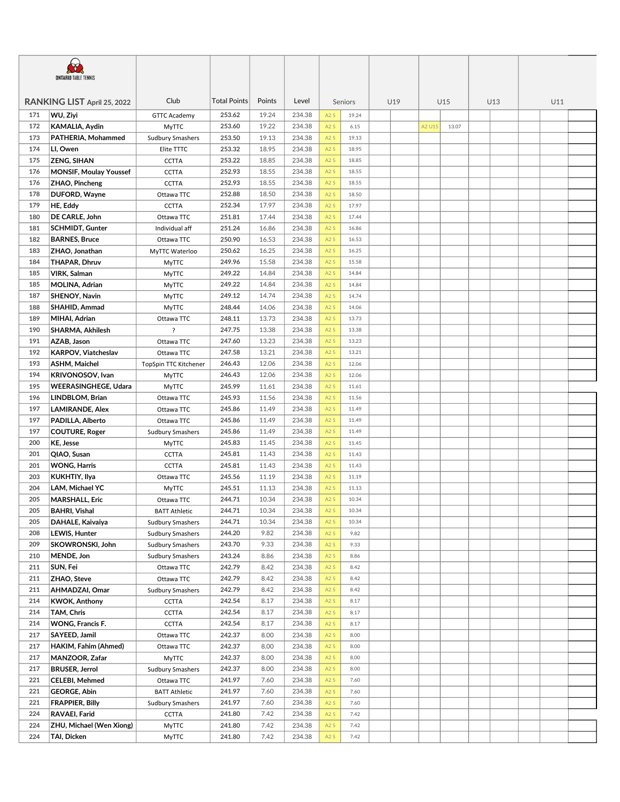| Club<br><b>Total Points</b><br>Points<br>Level<br>RANKING LIST April 25, 2022<br>U19<br>U15<br>U13<br>U11<br>Seniors<br>171<br>WU, Ziyi<br>253.62<br>19.24<br>234.38<br>A2S<br><b>GTTC Academy</b><br>19.24<br>172<br>253.60<br>19.22<br>234.38<br>KAMALIA, Aydin<br>A2S<br>6.15<br>A2 U15<br>13.07<br><b>MyTTC</b><br>173<br>PATHERIA, Mohammed<br>253.50<br>19.13<br>234.38<br>A2S<br>19.13<br><b>Sudbury Smashers</b><br>253.32<br>234.38<br>174<br>18.95<br>A2S<br>LI, Owen<br>Elite TTTC<br>18.95<br>253.22<br>234.38<br>175<br><b>ZENG, SIHAN</b><br>18.85<br><b>CCTTA</b><br>A2S<br>18.85<br>252.93<br>18.55<br>234.38<br>176<br><b>MONSIF, Moulay Youssef</b><br>18.55<br><b>CCTTA</b><br>A2S<br>252.93<br>176<br>18.55<br>234.38<br>ZHAO, Pincheng<br><b>CCTTA</b><br>A2S<br>18.55<br>252.88<br>18.50<br>234.38<br>178<br>DUFORD, Wayne<br>A2S<br>18.50<br>Ottawa TTC<br>HE, Eddy<br><b>CCTTA</b><br>252.34<br>17.97<br>234.38<br>179<br>A2S<br>17.97<br>234.38<br>180<br>DE CARLE, John<br>251.81<br>17.44<br>A2S<br>17.44<br>Ottawa TTC<br>251.24<br>234.38<br>181<br>16.86<br>A2S<br><b>SCHMIDT, Gunter</b><br>Individual aff<br>16.86<br>250.90<br>16.53<br>234.38<br>182<br><b>BARNES, Bruce</b><br>A2S<br>16.53<br>Ottawa TTC<br>234.38<br>183<br>ZHAO, Jonathan<br>250.62<br>16.25<br>MyTTC Waterloo<br>A2S<br>16.25<br>184<br>249.96<br>15.58<br>234.38<br><b>THAPAR, Dhruv</b><br>A2S<br>15.58<br>MyTTC<br>14.84<br>234.38<br>185<br>VIRK, Salman<br>249.22<br>A2S<br>14.84<br><b>MyTTC</b><br>249.22<br>234.38<br>185<br>MOLINA, Adrian<br>14.84<br>A2S<br>14.84<br>MyTTC<br>249.12<br>14.74<br>234.38<br>187<br><b>SHENOY, Navin</b><br>A2S<br>14.74<br><b>MyTTC</b><br>248.44<br>234.38<br>188<br>SHAHID, Ammad<br>14.06<br>A2S<br><b>MyTTC</b><br>14.06<br>248.11<br>13.73<br>234.38<br>189<br>MIHAI, Adrian<br>A2S<br>Ottawa TTC<br>13.73<br>247.75<br>234.38<br>190<br>SHARMA, Akhilesh<br>?<br>13.38<br>A2S<br>13.38<br>247.60<br>234.38<br>191<br>AZAB, Jason<br>13.23<br>A2S<br>13.23<br>Ottawa TTC<br>13.21<br>234.38<br>192<br><b>KARPOV, Viatcheslav</b><br>247.58<br>A2S<br>13.21<br>Ottawa TTC<br>12.06<br>234.38<br>193<br>ASHM, Maichel<br>246.43<br>A2S<br>TopSpin TTC Kitchener<br>12.06<br>12.06<br>234.38<br>194<br><b>KRIVONOSOV, Ivan</b><br>246.43<br>A2S<br>12.06<br><b>MyTTC</b><br>245.99<br>234.38<br>195<br><b>WEERASINGHEGE, Udara</b><br>11.61<br>A2S<br><b>MyTTC</b><br>11.61<br>245.93<br>11.56<br>234.38<br>196<br>LINDBLOM, Brian<br>A2S<br>11.56<br>Ottawa TTC<br>197<br>245.86<br>11.49<br>234.38<br><b>LAMIRANDE, Alex</b><br>Ottawa TTC<br>A2S<br>11.49<br>245.86<br>234.38<br>197<br>PADILLA, Alberto<br>Ottawa TTC<br>11.49<br>A2S<br>11.49<br>197<br><b>COUTURE, Roger</b><br>245.86<br>11.49<br>234.38<br>A2S<br>11.49<br><b>Sudbury Smashers</b><br>245.83<br>200<br>KE, Jesse<br>11.45<br>234.38<br>A2S<br>MyTTC<br>11.45<br>201<br>QIAO, Susan<br>245.81<br>11.43<br>234.38<br><b>CCTTA</b><br>A2S<br>11.43<br>201<br>245.81<br>11.43<br>234.38<br>A2S<br><b>WONG, Harris</b><br><b>CCTTA</b><br>11.43<br>245.56<br>234.38<br>203<br><b>KUKHTIY, Ilya</b><br>11.19<br>A2S<br>Ottawa TTC<br>11.19<br>LAM, Michael YC<br>245.51<br>234.38<br>204<br><b>MyTTC</b><br>11.13<br>A2S<br>11.13<br>205<br><b>MARSHALL, Eric</b><br>244.71<br>10.34<br>234.38<br>A2S<br>Ottawa TTC<br>10.34<br><b>BAHRI, Vishal</b><br>205<br><b>BATT Athletic</b><br>244.71<br>10.34<br>234.38<br>A <sub>2</sub> S<br>10.34<br>205<br>DAHALE, Kaivaiya<br>244.71<br>10.34<br>234.38<br><b>Sudbury Smashers</b><br>A2S<br>10.34<br>208<br><b>LEWIS, Hunter</b><br>244.20<br>9.82<br>234.38<br><b>Sudbury Smashers</b><br>A2S<br>9.82<br>SKOWRONSKI, John<br>243.70<br>9.33<br>234.38<br>A2S<br>209<br><b>Sudbury Smashers</b><br>9.33<br>243.24<br>234.38<br>210<br>MENDE, Jon<br>8.86<br>A2S<br><b>Sudbury Smashers</b><br>8.86<br>242.79<br>234.38<br>211<br>SUN, Fei<br>8.42<br>A2S<br>Ottawa TTC<br>8.42<br>242.79<br>234.38<br>211<br>ZHAO, Steve<br>8.42<br>A2S<br>8.42<br>Ottawa TTC<br>242.79<br>234.38<br>211<br>AHMADZAI, Omar<br>8.42<br>A2S<br><b>Sudbury Smashers</b><br>8.42<br>234.38<br>214<br><b>KWOK, Anthony</b><br>242.54<br>8.17<br>A2S<br><b>CCTTA</b><br>8.17<br>242.54<br>234.38<br>214<br>TAM, Chris<br>8.17<br><b>CCTTA</b><br>A2S<br>8.17<br>234.38<br>214<br>WONG, Francis F.<br><b>CCTTA</b><br>242.54<br>8.17<br>A2S<br>8.17<br>242.37<br>234.38<br>217<br>SAYEED, Jamil<br>8.00<br>A2S<br>8.00<br>Ottawa TTC<br>242.37<br>234.38<br>217<br>HAKIM, Fahim (Ahmed)<br>Ottawa TTC<br>8.00<br>A2S<br>8.00<br>242.37<br>234.38<br>217<br>MANZOOR, Zafar<br><b>MyTTC</b><br>8.00<br>A2S<br>8.00<br>217<br><b>BRUSER, Jerrol</b><br>242.37<br>8.00<br>234.38<br>A2S<br><b>Sudbury Smashers</b><br>8.00<br>221<br><b>CELEBI, Mehmed</b><br>241.97<br>7.60<br>234.38<br>A2S<br>Ottawa TTC<br>7.60<br>221<br><b>GEORGE, Abin</b><br>241.97<br>7.60<br>234.38<br><b>BATT Athletic</b><br>A2S<br>7.60<br>221<br><b>FRAPPIER, Billy</b><br>241.97<br>7.60<br>234.38<br>A2S<br><b>Sudbury Smashers</b><br>7.60<br>234.38<br>224<br>RAVAEI, Farid<br>241.80<br>7.42<br>A2S<br><b>CCTTA</b><br>7.42<br>241.80<br>234.38<br>224<br><b>ZHU, Michael (Wen Xiong)</b><br>7.42<br><b>MyTTC</b><br>A2S<br>7.42<br>224<br><b>TAI, Dicken</b><br><b>MyTTC</b><br>241.80<br>7.42<br>234.38<br>7.42<br>A2S | <b>ONTARIO TABLE TENNIS</b> |  |  |  |  |  |  |  |  |  |  |  |  |  |  |
|------------------------------------------------------------------------------------------------------------------------------------------------------------------------------------------------------------------------------------------------------------------------------------------------------------------------------------------------------------------------------------------------------------------------------------------------------------------------------------------------------------------------------------------------------------------------------------------------------------------------------------------------------------------------------------------------------------------------------------------------------------------------------------------------------------------------------------------------------------------------------------------------------------------------------------------------------------------------------------------------------------------------------------------------------------------------------------------------------------------------------------------------------------------------------------------------------------------------------------------------------------------------------------------------------------------------------------------------------------------------------------------------------------------------------------------------------------------------------------------------------------------------------------------------------------------------------------------------------------------------------------------------------------------------------------------------------------------------------------------------------------------------------------------------------------------------------------------------------------------------------------------------------------------------------------------------------------------------------------------------------------------------------------------------------------------------------------------------------------------------------------------------------------------------------------------------------------------------------------------------------------------------------------------------------------------------------------------------------------------------------------------------------------------------------------------------------------------------------------------------------------------------------------------------------------------------------------------------------------------------------------------------------------------------------------------------------------------------------------------------------------------------------------------------------------------------------------------------------------------------------------------------------------------------------------------------------------------------------------------------------------------------------------------------------------------------------------------------------------------------------------------------------------------------------------------------------------------------------------------------------------------------------------------------------------------------------------------------------------------------------------------------------------------------------------------------------------------------------------------------------------------------------------------------------------------------------------------------------------------------------------------------------------------------------------------------------------------------------------------------------------------------------------------------------------------------------------------------------------------------------------------------------------------------------------------------------------------------------------------------------------------------------------------------------------------------------------------------------------------------------------------------------------------------------------------------------------------------------------------------------------------------------------------------------------------------------------------------------------------------------------------------------------------------------------------------------------------------------------------------------------------------------------------------------------------------------------------------------------------------------------------------------------------------------------------------------------------------------------------------------------------------------------------------------------------------------------------------------------------------------------------------------------------------------------------------------------------------------------------------------------------------------------------------------------------------------------------------------------------------------------------------------------------------------------------------------------------------------------------------------------------------------------------------------------------------------------------------------|-----------------------------|--|--|--|--|--|--|--|--|--|--|--|--|--|--|
|                                                                                                                                                                                                                                                                                                                                                                                                                                                                                                                                                                                                                                                                                                                                                                                                                                                                                                                                                                                                                                                                                                                                                                                                                                                                                                                                                                                                                                                                                                                                                                                                                                                                                                                                                                                                                                                                                                                                                                                                                                                                                                                                                                                                                                                                                                                                                                                                                                                                                                                                                                                                                                                                                                                                                                                                                                                                                                                                                                                                                                                                                                                                                                                                                                                                                                                                                                                                                                                                                                                                                                                                                                                                                                                                                                                                                                                                                                                                                                                                                                                                                                                                                                                                                                                                                                                                                                                                                                                                                                                                                                                                                                                                                                                                                                                                                                                                                                                                                                                                                                                                                                                                                                                                                                                                                                                                                      |                             |  |  |  |  |  |  |  |  |  |  |  |  |  |  |
|                                                                                                                                                                                                                                                                                                                                                                                                                                                                                                                                                                                                                                                                                                                                                                                                                                                                                                                                                                                                                                                                                                                                                                                                                                                                                                                                                                                                                                                                                                                                                                                                                                                                                                                                                                                                                                                                                                                                                                                                                                                                                                                                                                                                                                                                                                                                                                                                                                                                                                                                                                                                                                                                                                                                                                                                                                                                                                                                                                                                                                                                                                                                                                                                                                                                                                                                                                                                                                                                                                                                                                                                                                                                                                                                                                                                                                                                                                                                                                                                                                                                                                                                                                                                                                                                                                                                                                                                                                                                                                                                                                                                                                                                                                                                                                                                                                                                                                                                                                                                                                                                                                                                                                                                                                                                                                                                                      |                             |  |  |  |  |  |  |  |  |  |  |  |  |  |  |
|                                                                                                                                                                                                                                                                                                                                                                                                                                                                                                                                                                                                                                                                                                                                                                                                                                                                                                                                                                                                                                                                                                                                                                                                                                                                                                                                                                                                                                                                                                                                                                                                                                                                                                                                                                                                                                                                                                                                                                                                                                                                                                                                                                                                                                                                                                                                                                                                                                                                                                                                                                                                                                                                                                                                                                                                                                                                                                                                                                                                                                                                                                                                                                                                                                                                                                                                                                                                                                                                                                                                                                                                                                                                                                                                                                                                                                                                                                                                                                                                                                                                                                                                                                                                                                                                                                                                                                                                                                                                                                                                                                                                                                                                                                                                                                                                                                                                                                                                                                                                                                                                                                                                                                                                                                                                                                                                                      |                             |  |  |  |  |  |  |  |  |  |  |  |  |  |  |
|                                                                                                                                                                                                                                                                                                                                                                                                                                                                                                                                                                                                                                                                                                                                                                                                                                                                                                                                                                                                                                                                                                                                                                                                                                                                                                                                                                                                                                                                                                                                                                                                                                                                                                                                                                                                                                                                                                                                                                                                                                                                                                                                                                                                                                                                                                                                                                                                                                                                                                                                                                                                                                                                                                                                                                                                                                                                                                                                                                                                                                                                                                                                                                                                                                                                                                                                                                                                                                                                                                                                                                                                                                                                                                                                                                                                                                                                                                                                                                                                                                                                                                                                                                                                                                                                                                                                                                                                                                                                                                                                                                                                                                                                                                                                                                                                                                                                                                                                                                                                                                                                                                                                                                                                                                                                                                                                                      |                             |  |  |  |  |  |  |  |  |  |  |  |  |  |  |
|                                                                                                                                                                                                                                                                                                                                                                                                                                                                                                                                                                                                                                                                                                                                                                                                                                                                                                                                                                                                                                                                                                                                                                                                                                                                                                                                                                                                                                                                                                                                                                                                                                                                                                                                                                                                                                                                                                                                                                                                                                                                                                                                                                                                                                                                                                                                                                                                                                                                                                                                                                                                                                                                                                                                                                                                                                                                                                                                                                                                                                                                                                                                                                                                                                                                                                                                                                                                                                                                                                                                                                                                                                                                                                                                                                                                                                                                                                                                                                                                                                                                                                                                                                                                                                                                                                                                                                                                                                                                                                                                                                                                                                                                                                                                                                                                                                                                                                                                                                                                                                                                                                                                                                                                                                                                                                                                                      |                             |  |  |  |  |  |  |  |  |  |  |  |  |  |  |
|                                                                                                                                                                                                                                                                                                                                                                                                                                                                                                                                                                                                                                                                                                                                                                                                                                                                                                                                                                                                                                                                                                                                                                                                                                                                                                                                                                                                                                                                                                                                                                                                                                                                                                                                                                                                                                                                                                                                                                                                                                                                                                                                                                                                                                                                                                                                                                                                                                                                                                                                                                                                                                                                                                                                                                                                                                                                                                                                                                                                                                                                                                                                                                                                                                                                                                                                                                                                                                                                                                                                                                                                                                                                                                                                                                                                                                                                                                                                                                                                                                                                                                                                                                                                                                                                                                                                                                                                                                                                                                                                                                                                                                                                                                                                                                                                                                                                                                                                                                                                                                                                                                                                                                                                                                                                                                                                                      |                             |  |  |  |  |  |  |  |  |  |  |  |  |  |  |
|                                                                                                                                                                                                                                                                                                                                                                                                                                                                                                                                                                                                                                                                                                                                                                                                                                                                                                                                                                                                                                                                                                                                                                                                                                                                                                                                                                                                                                                                                                                                                                                                                                                                                                                                                                                                                                                                                                                                                                                                                                                                                                                                                                                                                                                                                                                                                                                                                                                                                                                                                                                                                                                                                                                                                                                                                                                                                                                                                                                                                                                                                                                                                                                                                                                                                                                                                                                                                                                                                                                                                                                                                                                                                                                                                                                                                                                                                                                                                                                                                                                                                                                                                                                                                                                                                                                                                                                                                                                                                                                                                                                                                                                                                                                                                                                                                                                                                                                                                                                                                                                                                                                                                                                                                                                                                                                                                      |                             |  |  |  |  |  |  |  |  |  |  |  |  |  |  |
|                                                                                                                                                                                                                                                                                                                                                                                                                                                                                                                                                                                                                                                                                                                                                                                                                                                                                                                                                                                                                                                                                                                                                                                                                                                                                                                                                                                                                                                                                                                                                                                                                                                                                                                                                                                                                                                                                                                                                                                                                                                                                                                                                                                                                                                                                                                                                                                                                                                                                                                                                                                                                                                                                                                                                                                                                                                                                                                                                                                                                                                                                                                                                                                                                                                                                                                                                                                                                                                                                                                                                                                                                                                                                                                                                                                                                                                                                                                                                                                                                                                                                                                                                                                                                                                                                                                                                                                                                                                                                                                                                                                                                                                                                                                                                                                                                                                                                                                                                                                                                                                                                                                                                                                                                                                                                                                                                      |                             |  |  |  |  |  |  |  |  |  |  |  |  |  |  |
|                                                                                                                                                                                                                                                                                                                                                                                                                                                                                                                                                                                                                                                                                                                                                                                                                                                                                                                                                                                                                                                                                                                                                                                                                                                                                                                                                                                                                                                                                                                                                                                                                                                                                                                                                                                                                                                                                                                                                                                                                                                                                                                                                                                                                                                                                                                                                                                                                                                                                                                                                                                                                                                                                                                                                                                                                                                                                                                                                                                                                                                                                                                                                                                                                                                                                                                                                                                                                                                                                                                                                                                                                                                                                                                                                                                                                                                                                                                                                                                                                                                                                                                                                                                                                                                                                                                                                                                                                                                                                                                                                                                                                                                                                                                                                                                                                                                                                                                                                                                                                                                                                                                                                                                                                                                                                                                                                      |                             |  |  |  |  |  |  |  |  |  |  |  |  |  |  |
|                                                                                                                                                                                                                                                                                                                                                                                                                                                                                                                                                                                                                                                                                                                                                                                                                                                                                                                                                                                                                                                                                                                                                                                                                                                                                                                                                                                                                                                                                                                                                                                                                                                                                                                                                                                                                                                                                                                                                                                                                                                                                                                                                                                                                                                                                                                                                                                                                                                                                                                                                                                                                                                                                                                                                                                                                                                                                                                                                                                                                                                                                                                                                                                                                                                                                                                                                                                                                                                                                                                                                                                                                                                                                                                                                                                                                                                                                                                                                                                                                                                                                                                                                                                                                                                                                                                                                                                                                                                                                                                                                                                                                                                                                                                                                                                                                                                                                                                                                                                                                                                                                                                                                                                                                                                                                                                                                      |                             |  |  |  |  |  |  |  |  |  |  |  |  |  |  |
|                                                                                                                                                                                                                                                                                                                                                                                                                                                                                                                                                                                                                                                                                                                                                                                                                                                                                                                                                                                                                                                                                                                                                                                                                                                                                                                                                                                                                                                                                                                                                                                                                                                                                                                                                                                                                                                                                                                                                                                                                                                                                                                                                                                                                                                                                                                                                                                                                                                                                                                                                                                                                                                                                                                                                                                                                                                                                                                                                                                                                                                                                                                                                                                                                                                                                                                                                                                                                                                                                                                                                                                                                                                                                                                                                                                                                                                                                                                                                                                                                                                                                                                                                                                                                                                                                                                                                                                                                                                                                                                                                                                                                                                                                                                                                                                                                                                                                                                                                                                                                                                                                                                                                                                                                                                                                                                                                      |                             |  |  |  |  |  |  |  |  |  |  |  |  |  |  |
|                                                                                                                                                                                                                                                                                                                                                                                                                                                                                                                                                                                                                                                                                                                                                                                                                                                                                                                                                                                                                                                                                                                                                                                                                                                                                                                                                                                                                                                                                                                                                                                                                                                                                                                                                                                                                                                                                                                                                                                                                                                                                                                                                                                                                                                                                                                                                                                                                                                                                                                                                                                                                                                                                                                                                                                                                                                                                                                                                                                                                                                                                                                                                                                                                                                                                                                                                                                                                                                                                                                                                                                                                                                                                                                                                                                                                                                                                                                                                                                                                                                                                                                                                                                                                                                                                                                                                                                                                                                                                                                                                                                                                                                                                                                                                                                                                                                                                                                                                                                                                                                                                                                                                                                                                                                                                                                                                      |                             |  |  |  |  |  |  |  |  |  |  |  |  |  |  |
|                                                                                                                                                                                                                                                                                                                                                                                                                                                                                                                                                                                                                                                                                                                                                                                                                                                                                                                                                                                                                                                                                                                                                                                                                                                                                                                                                                                                                                                                                                                                                                                                                                                                                                                                                                                                                                                                                                                                                                                                                                                                                                                                                                                                                                                                                                                                                                                                                                                                                                                                                                                                                                                                                                                                                                                                                                                                                                                                                                                                                                                                                                                                                                                                                                                                                                                                                                                                                                                                                                                                                                                                                                                                                                                                                                                                                                                                                                                                                                                                                                                                                                                                                                                                                                                                                                                                                                                                                                                                                                                                                                                                                                                                                                                                                                                                                                                                                                                                                                                                                                                                                                                                                                                                                                                                                                                                                      |                             |  |  |  |  |  |  |  |  |  |  |  |  |  |  |
|                                                                                                                                                                                                                                                                                                                                                                                                                                                                                                                                                                                                                                                                                                                                                                                                                                                                                                                                                                                                                                                                                                                                                                                                                                                                                                                                                                                                                                                                                                                                                                                                                                                                                                                                                                                                                                                                                                                                                                                                                                                                                                                                                                                                                                                                                                                                                                                                                                                                                                                                                                                                                                                                                                                                                                                                                                                                                                                                                                                                                                                                                                                                                                                                                                                                                                                                                                                                                                                                                                                                                                                                                                                                                                                                                                                                                                                                                                                                                                                                                                                                                                                                                                                                                                                                                                                                                                                                                                                                                                                                                                                                                                                                                                                                                                                                                                                                                                                                                                                                                                                                                                                                                                                                                                                                                                                                                      |                             |  |  |  |  |  |  |  |  |  |  |  |  |  |  |
|                                                                                                                                                                                                                                                                                                                                                                                                                                                                                                                                                                                                                                                                                                                                                                                                                                                                                                                                                                                                                                                                                                                                                                                                                                                                                                                                                                                                                                                                                                                                                                                                                                                                                                                                                                                                                                                                                                                                                                                                                                                                                                                                                                                                                                                                                                                                                                                                                                                                                                                                                                                                                                                                                                                                                                                                                                                                                                                                                                                                                                                                                                                                                                                                                                                                                                                                                                                                                                                                                                                                                                                                                                                                                                                                                                                                                                                                                                                                                                                                                                                                                                                                                                                                                                                                                                                                                                                                                                                                                                                                                                                                                                                                                                                                                                                                                                                                                                                                                                                                                                                                                                                                                                                                                                                                                                                                                      |                             |  |  |  |  |  |  |  |  |  |  |  |  |  |  |
|                                                                                                                                                                                                                                                                                                                                                                                                                                                                                                                                                                                                                                                                                                                                                                                                                                                                                                                                                                                                                                                                                                                                                                                                                                                                                                                                                                                                                                                                                                                                                                                                                                                                                                                                                                                                                                                                                                                                                                                                                                                                                                                                                                                                                                                                                                                                                                                                                                                                                                                                                                                                                                                                                                                                                                                                                                                                                                                                                                                                                                                                                                                                                                                                                                                                                                                                                                                                                                                                                                                                                                                                                                                                                                                                                                                                                                                                                                                                                                                                                                                                                                                                                                                                                                                                                                                                                                                                                                                                                                                                                                                                                                                                                                                                                                                                                                                                                                                                                                                                                                                                                                                                                                                                                                                                                                                                                      |                             |  |  |  |  |  |  |  |  |  |  |  |  |  |  |
|                                                                                                                                                                                                                                                                                                                                                                                                                                                                                                                                                                                                                                                                                                                                                                                                                                                                                                                                                                                                                                                                                                                                                                                                                                                                                                                                                                                                                                                                                                                                                                                                                                                                                                                                                                                                                                                                                                                                                                                                                                                                                                                                                                                                                                                                                                                                                                                                                                                                                                                                                                                                                                                                                                                                                                                                                                                                                                                                                                                                                                                                                                                                                                                                                                                                                                                                                                                                                                                                                                                                                                                                                                                                                                                                                                                                                                                                                                                                                                                                                                                                                                                                                                                                                                                                                                                                                                                                                                                                                                                                                                                                                                                                                                                                                                                                                                                                                                                                                                                                                                                                                                                                                                                                                                                                                                                                                      |                             |  |  |  |  |  |  |  |  |  |  |  |  |  |  |
|                                                                                                                                                                                                                                                                                                                                                                                                                                                                                                                                                                                                                                                                                                                                                                                                                                                                                                                                                                                                                                                                                                                                                                                                                                                                                                                                                                                                                                                                                                                                                                                                                                                                                                                                                                                                                                                                                                                                                                                                                                                                                                                                                                                                                                                                                                                                                                                                                                                                                                                                                                                                                                                                                                                                                                                                                                                                                                                                                                                                                                                                                                                                                                                                                                                                                                                                                                                                                                                                                                                                                                                                                                                                                                                                                                                                                                                                                                                                                                                                                                                                                                                                                                                                                                                                                                                                                                                                                                                                                                                                                                                                                                                                                                                                                                                                                                                                                                                                                                                                                                                                                                                                                                                                                                                                                                                                                      |                             |  |  |  |  |  |  |  |  |  |  |  |  |  |  |
|                                                                                                                                                                                                                                                                                                                                                                                                                                                                                                                                                                                                                                                                                                                                                                                                                                                                                                                                                                                                                                                                                                                                                                                                                                                                                                                                                                                                                                                                                                                                                                                                                                                                                                                                                                                                                                                                                                                                                                                                                                                                                                                                                                                                                                                                                                                                                                                                                                                                                                                                                                                                                                                                                                                                                                                                                                                                                                                                                                                                                                                                                                                                                                                                                                                                                                                                                                                                                                                                                                                                                                                                                                                                                                                                                                                                                                                                                                                                                                                                                                                                                                                                                                                                                                                                                                                                                                                                                                                                                                                                                                                                                                                                                                                                                                                                                                                                                                                                                                                                                                                                                                                                                                                                                                                                                                                                                      |                             |  |  |  |  |  |  |  |  |  |  |  |  |  |  |
|                                                                                                                                                                                                                                                                                                                                                                                                                                                                                                                                                                                                                                                                                                                                                                                                                                                                                                                                                                                                                                                                                                                                                                                                                                                                                                                                                                                                                                                                                                                                                                                                                                                                                                                                                                                                                                                                                                                                                                                                                                                                                                                                                                                                                                                                                                                                                                                                                                                                                                                                                                                                                                                                                                                                                                                                                                                                                                                                                                                                                                                                                                                                                                                                                                                                                                                                                                                                                                                                                                                                                                                                                                                                                                                                                                                                                                                                                                                                                                                                                                                                                                                                                                                                                                                                                                                                                                                                                                                                                                                                                                                                                                                                                                                                                                                                                                                                                                                                                                                                                                                                                                                                                                                                                                                                                                                                                      |                             |  |  |  |  |  |  |  |  |  |  |  |  |  |  |
|                                                                                                                                                                                                                                                                                                                                                                                                                                                                                                                                                                                                                                                                                                                                                                                                                                                                                                                                                                                                                                                                                                                                                                                                                                                                                                                                                                                                                                                                                                                                                                                                                                                                                                                                                                                                                                                                                                                                                                                                                                                                                                                                                                                                                                                                                                                                                                                                                                                                                                                                                                                                                                                                                                                                                                                                                                                                                                                                                                                                                                                                                                                                                                                                                                                                                                                                                                                                                                                                                                                                                                                                                                                                                                                                                                                                                                                                                                                                                                                                                                                                                                                                                                                                                                                                                                                                                                                                                                                                                                                                                                                                                                                                                                                                                                                                                                                                                                                                                                                                                                                                                                                                                                                                                                                                                                                                                      |                             |  |  |  |  |  |  |  |  |  |  |  |  |  |  |
|                                                                                                                                                                                                                                                                                                                                                                                                                                                                                                                                                                                                                                                                                                                                                                                                                                                                                                                                                                                                                                                                                                                                                                                                                                                                                                                                                                                                                                                                                                                                                                                                                                                                                                                                                                                                                                                                                                                                                                                                                                                                                                                                                                                                                                                                                                                                                                                                                                                                                                                                                                                                                                                                                                                                                                                                                                                                                                                                                                                                                                                                                                                                                                                                                                                                                                                                                                                                                                                                                                                                                                                                                                                                                                                                                                                                                                                                                                                                                                                                                                                                                                                                                                                                                                                                                                                                                                                                                                                                                                                                                                                                                                                                                                                                                                                                                                                                                                                                                                                                                                                                                                                                                                                                                                                                                                                                                      |                             |  |  |  |  |  |  |  |  |  |  |  |  |  |  |
|                                                                                                                                                                                                                                                                                                                                                                                                                                                                                                                                                                                                                                                                                                                                                                                                                                                                                                                                                                                                                                                                                                                                                                                                                                                                                                                                                                                                                                                                                                                                                                                                                                                                                                                                                                                                                                                                                                                                                                                                                                                                                                                                                                                                                                                                                                                                                                                                                                                                                                                                                                                                                                                                                                                                                                                                                                                                                                                                                                                                                                                                                                                                                                                                                                                                                                                                                                                                                                                                                                                                                                                                                                                                                                                                                                                                                                                                                                                                                                                                                                                                                                                                                                                                                                                                                                                                                                                                                                                                                                                                                                                                                                                                                                                                                                                                                                                                                                                                                                                                                                                                                                                                                                                                                                                                                                                                                      |                             |  |  |  |  |  |  |  |  |  |  |  |  |  |  |
|                                                                                                                                                                                                                                                                                                                                                                                                                                                                                                                                                                                                                                                                                                                                                                                                                                                                                                                                                                                                                                                                                                                                                                                                                                                                                                                                                                                                                                                                                                                                                                                                                                                                                                                                                                                                                                                                                                                                                                                                                                                                                                                                                                                                                                                                                                                                                                                                                                                                                                                                                                                                                                                                                                                                                                                                                                                                                                                                                                                                                                                                                                                                                                                                                                                                                                                                                                                                                                                                                                                                                                                                                                                                                                                                                                                                                                                                                                                                                                                                                                                                                                                                                                                                                                                                                                                                                                                                                                                                                                                                                                                                                                                                                                                                                                                                                                                                                                                                                                                                                                                                                                                                                                                                                                                                                                                                                      |                             |  |  |  |  |  |  |  |  |  |  |  |  |  |  |
|                                                                                                                                                                                                                                                                                                                                                                                                                                                                                                                                                                                                                                                                                                                                                                                                                                                                                                                                                                                                                                                                                                                                                                                                                                                                                                                                                                                                                                                                                                                                                                                                                                                                                                                                                                                                                                                                                                                                                                                                                                                                                                                                                                                                                                                                                                                                                                                                                                                                                                                                                                                                                                                                                                                                                                                                                                                                                                                                                                                                                                                                                                                                                                                                                                                                                                                                                                                                                                                                                                                                                                                                                                                                                                                                                                                                                                                                                                                                                                                                                                                                                                                                                                                                                                                                                                                                                                                                                                                                                                                                                                                                                                                                                                                                                                                                                                                                                                                                                                                                                                                                                                                                                                                                                                                                                                                                                      |                             |  |  |  |  |  |  |  |  |  |  |  |  |  |  |
|                                                                                                                                                                                                                                                                                                                                                                                                                                                                                                                                                                                                                                                                                                                                                                                                                                                                                                                                                                                                                                                                                                                                                                                                                                                                                                                                                                                                                                                                                                                                                                                                                                                                                                                                                                                                                                                                                                                                                                                                                                                                                                                                                                                                                                                                                                                                                                                                                                                                                                                                                                                                                                                                                                                                                                                                                                                                                                                                                                                                                                                                                                                                                                                                                                                                                                                                                                                                                                                                                                                                                                                                                                                                                                                                                                                                                                                                                                                                                                                                                                                                                                                                                                                                                                                                                                                                                                                                                                                                                                                                                                                                                                                                                                                                                                                                                                                                                                                                                                                                                                                                                                                                                                                                                                                                                                                                                      |                             |  |  |  |  |  |  |  |  |  |  |  |  |  |  |
|                                                                                                                                                                                                                                                                                                                                                                                                                                                                                                                                                                                                                                                                                                                                                                                                                                                                                                                                                                                                                                                                                                                                                                                                                                                                                                                                                                                                                                                                                                                                                                                                                                                                                                                                                                                                                                                                                                                                                                                                                                                                                                                                                                                                                                                                                                                                                                                                                                                                                                                                                                                                                                                                                                                                                                                                                                                                                                                                                                                                                                                                                                                                                                                                                                                                                                                                                                                                                                                                                                                                                                                                                                                                                                                                                                                                                                                                                                                                                                                                                                                                                                                                                                                                                                                                                                                                                                                                                                                                                                                                                                                                                                                                                                                                                                                                                                                                                                                                                                                                                                                                                                                                                                                                                                                                                                                                                      |                             |  |  |  |  |  |  |  |  |  |  |  |  |  |  |
|                                                                                                                                                                                                                                                                                                                                                                                                                                                                                                                                                                                                                                                                                                                                                                                                                                                                                                                                                                                                                                                                                                                                                                                                                                                                                                                                                                                                                                                                                                                                                                                                                                                                                                                                                                                                                                                                                                                                                                                                                                                                                                                                                                                                                                                                                                                                                                                                                                                                                                                                                                                                                                                                                                                                                                                                                                                                                                                                                                                                                                                                                                                                                                                                                                                                                                                                                                                                                                                                                                                                                                                                                                                                                                                                                                                                                                                                                                                                                                                                                                                                                                                                                                                                                                                                                                                                                                                                                                                                                                                                                                                                                                                                                                                                                                                                                                                                                                                                                                                                                                                                                                                                                                                                                                                                                                                                                      |                             |  |  |  |  |  |  |  |  |  |  |  |  |  |  |
|                                                                                                                                                                                                                                                                                                                                                                                                                                                                                                                                                                                                                                                                                                                                                                                                                                                                                                                                                                                                                                                                                                                                                                                                                                                                                                                                                                                                                                                                                                                                                                                                                                                                                                                                                                                                                                                                                                                                                                                                                                                                                                                                                                                                                                                                                                                                                                                                                                                                                                                                                                                                                                                                                                                                                                                                                                                                                                                                                                                                                                                                                                                                                                                                                                                                                                                                                                                                                                                                                                                                                                                                                                                                                                                                                                                                                                                                                                                                                                                                                                                                                                                                                                                                                                                                                                                                                                                                                                                                                                                                                                                                                                                                                                                                                                                                                                                                                                                                                                                                                                                                                                                                                                                                                                                                                                                                                      |                             |  |  |  |  |  |  |  |  |  |  |  |  |  |  |
|                                                                                                                                                                                                                                                                                                                                                                                                                                                                                                                                                                                                                                                                                                                                                                                                                                                                                                                                                                                                                                                                                                                                                                                                                                                                                                                                                                                                                                                                                                                                                                                                                                                                                                                                                                                                                                                                                                                                                                                                                                                                                                                                                                                                                                                                                                                                                                                                                                                                                                                                                                                                                                                                                                                                                                                                                                                                                                                                                                                                                                                                                                                                                                                                                                                                                                                                                                                                                                                                                                                                                                                                                                                                                                                                                                                                                                                                                                                                                                                                                                                                                                                                                                                                                                                                                                                                                                                                                                                                                                                                                                                                                                                                                                                                                                                                                                                                                                                                                                                                                                                                                                                                                                                                                                                                                                                                                      |                             |  |  |  |  |  |  |  |  |  |  |  |  |  |  |
|                                                                                                                                                                                                                                                                                                                                                                                                                                                                                                                                                                                                                                                                                                                                                                                                                                                                                                                                                                                                                                                                                                                                                                                                                                                                                                                                                                                                                                                                                                                                                                                                                                                                                                                                                                                                                                                                                                                                                                                                                                                                                                                                                                                                                                                                                                                                                                                                                                                                                                                                                                                                                                                                                                                                                                                                                                                                                                                                                                                                                                                                                                                                                                                                                                                                                                                                                                                                                                                                                                                                                                                                                                                                                                                                                                                                                                                                                                                                                                                                                                                                                                                                                                                                                                                                                                                                                                                                                                                                                                                                                                                                                                                                                                                                                                                                                                                                                                                                                                                                                                                                                                                                                                                                                                                                                                                                                      |                             |  |  |  |  |  |  |  |  |  |  |  |  |  |  |
|                                                                                                                                                                                                                                                                                                                                                                                                                                                                                                                                                                                                                                                                                                                                                                                                                                                                                                                                                                                                                                                                                                                                                                                                                                                                                                                                                                                                                                                                                                                                                                                                                                                                                                                                                                                                                                                                                                                                                                                                                                                                                                                                                                                                                                                                                                                                                                                                                                                                                                                                                                                                                                                                                                                                                                                                                                                                                                                                                                                                                                                                                                                                                                                                                                                                                                                                                                                                                                                                                                                                                                                                                                                                                                                                                                                                                                                                                                                                                                                                                                                                                                                                                                                                                                                                                                                                                                                                                                                                                                                                                                                                                                                                                                                                                                                                                                                                                                                                                                                                                                                                                                                                                                                                                                                                                                                                                      |                             |  |  |  |  |  |  |  |  |  |  |  |  |  |  |
|                                                                                                                                                                                                                                                                                                                                                                                                                                                                                                                                                                                                                                                                                                                                                                                                                                                                                                                                                                                                                                                                                                                                                                                                                                                                                                                                                                                                                                                                                                                                                                                                                                                                                                                                                                                                                                                                                                                                                                                                                                                                                                                                                                                                                                                                                                                                                                                                                                                                                                                                                                                                                                                                                                                                                                                                                                                                                                                                                                                                                                                                                                                                                                                                                                                                                                                                                                                                                                                                                                                                                                                                                                                                                                                                                                                                                                                                                                                                                                                                                                                                                                                                                                                                                                                                                                                                                                                                                                                                                                                                                                                                                                                                                                                                                                                                                                                                                                                                                                                                                                                                                                                                                                                                                                                                                                                                                      |                             |  |  |  |  |  |  |  |  |  |  |  |  |  |  |
|                                                                                                                                                                                                                                                                                                                                                                                                                                                                                                                                                                                                                                                                                                                                                                                                                                                                                                                                                                                                                                                                                                                                                                                                                                                                                                                                                                                                                                                                                                                                                                                                                                                                                                                                                                                                                                                                                                                                                                                                                                                                                                                                                                                                                                                                                                                                                                                                                                                                                                                                                                                                                                                                                                                                                                                                                                                                                                                                                                                                                                                                                                                                                                                                                                                                                                                                                                                                                                                                                                                                                                                                                                                                                                                                                                                                                                                                                                                                                                                                                                                                                                                                                                                                                                                                                                                                                                                                                                                                                                                                                                                                                                                                                                                                                                                                                                                                                                                                                                                                                                                                                                                                                                                                                                                                                                                                                      |                             |  |  |  |  |  |  |  |  |  |  |  |  |  |  |
|                                                                                                                                                                                                                                                                                                                                                                                                                                                                                                                                                                                                                                                                                                                                                                                                                                                                                                                                                                                                                                                                                                                                                                                                                                                                                                                                                                                                                                                                                                                                                                                                                                                                                                                                                                                                                                                                                                                                                                                                                                                                                                                                                                                                                                                                                                                                                                                                                                                                                                                                                                                                                                                                                                                                                                                                                                                                                                                                                                                                                                                                                                                                                                                                                                                                                                                                                                                                                                                                                                                                                                                                                                                                                                                                                                                                                                                                                                                                                                                                                                                                                                                                                                                                                                                                                                                                                                                                                                                                                                                                                                                                                                                                                                                                                                                                                                                                                                                                                                                                                                                                                                                                                                                                                                                                                                                                                      |                             |  |  |  |  |  |  |  |  |  |  |  |  |  |  |
|                                                                                                                                                                                                                                                                                                                                                                                                                                                                                                                                                                                                                                                                                                                                                                                                                                                                                                                                                                                                                                                                                                                                                                                                                                                                                                                                                                                                                                                                                                                                                                                                                                                                                                                                                                                                                                                                                                                                                                                                                                                                                                                                                                                                                                                                                                                                                                                                                                                                                                                                                                                                                                                                                                                                                                                                                                                                                                                                                                                                                                                                                                                                                                                                                                                                                                                                                                                                                                                                                                                                                                                                                                                                                                                                                                                                                                                                                                                                                                                                                                                                                                                                                                                                                                                                                                                                                                                                                                                                                                                                                                                                                                                                                                                                                                                                                                                                                                                                                                                                                                                                                                                                                                                                                                                                                                                                                      |                             |  |  |  |  |  |  |  |  |  |  |  |  |  |  |
|                                                                                                                                                                                                                                                                                                                                                                                                                                                                                                                                                                                                                                                                                                                                                                                                                                                                                                                                                                                                                                                                                                                                                                                                                                                                                                                                                                                                                                                                                                                                                                                                                                                                                                                                                                                                                                                                                                                                                                                                                                                                                                                                                                                                                                                                                                                                                                                                                                                                                                                                                                                                                                                                                                                                                                                                                                                                                                                                                                                                                                                                                                                                                                                                                                                                                                                                                                                                                                                                                                                                                                                                                                                                                                                                                                                                                                                                                                                                                                                                                                                                                                                                                                                                                                                                                                                                                                                                                                                                                                                                                                                                                                                                                                                                                                                                                                                                                                                                                                                                                                                                                                                                                                                                                                                                                                                                                      |                             |  |  |  |  |  |  |  |  |  |  |  |  |  |  |
|                                                                                                                                                                                                                                                                                                                                                                                                                                                                                                                                                                                                                                                                                                                                                                                                                                                                                                                                                                                                                                                                                                                                                                                                                                                                                                                                                                                                                                                                                                                                                                                                                                                                                                                                                                                                                                                                                                                                                                                                                                                                                                                                                                                                                                                                                                                                                                                                                                                                                                                                                                                                                                                                                                                                                                                                                                                                                                                                                                                                                                                                                                                                                                                                                                                                                                                                                                                                                                                                                                                                                                                                                                                                                                                                                                                                                                                                                                                                                                                                                                                                                                                                                                                                                                                                                                                                                                                                                                                                                                                                                                                                                                                                                                                                                                                                                                                                                                                                                                                                                                                                                                                                                                                                                                                                                                                                                      |                             |  |  |  |  |  |  |  |  |  |  |  |  |  |  |
|                                                                                                                                                                                                                                                                                                                                                                                                                                                                                                                                                                                                                                                                                                                                                                                                                                                                                                                                                                                                                                                                                                                                                                                                                                                                                                                                                                                                                                                                                                                                                                                                                                                                                                                                                                                                                                                                                                                                                                                                                                                                                                                                                                                                                                                                                                                                                                                                                                                                                                                                                                                                                                                                                                                                                                                                                                                                                                                                                                                                                                                                                                                                                                                                                                                                                                                                                                                                                                                                                                                                                                                                                                                                                                                                                                                                                                                                                                                                                                                                                                                                                                                                                                                                                                                                                                                                                                                                                                                                                                                                                                                                                                                                                                                                                                                                                                                                                                                                                                                                                                                                                                                                                                                                                                                                                                                                                      |                             |  |  |  |  |  |  |  |  |  |  |  |  |  |  |
|                                                                                                                                                                                                                                                                                                                                                                                                                                                                                                                                                                                                                                                                                                                                                                                                                                                                                                                                                                                                                                                                                                                                                                                                                                                                                                                                                                                                                                                                                                                                                                                                                                                                                                                                                                                                                                                                                                                                                                                                                                                                                                                                                                                                                                                                                                                                                                                                                                                                                                                                                                                                                                                                                                                                                                                                                                                                                                                                                                                                                                                                                                                                                                                                                                                                                                                                                                                                                                                                                                                                                                                                                                                                                                                                                                                                                                                                                                                                                                                                                                                                                                                                                                                                                                                                                                                                                                                                                                                                                                                                                                                                                                                                                                                                                                                                                                                                                                                                                                                                                                                                                                                                                                                                                                                                                                                                                      |                             |  |  |  |  |  |  |  |  |  |  |  |  |  |  |
|                                                                                                                                                                                                                                                                                                                                                                                                                                                                                                                                                                                                                                                                                                                                                                                                                                                                                                                                                                                                                                                                                                                                                                                                                                                                                                                                                                                                                                                                                                                                                                                                                                                                                                                                                                                                                                                                                                                                                                                                                                                                                                                                                                                                                                                                                                                                                                                                                                                                                                                                                                                                                                                                                                                                                                                                                                                                                                                                                                                                                                                                                                                                                                                                                                                                                                                                                                                                                                                                                                                                                                                                                                                                                                                                                                                                                                                                                                                                                                                                                                                                                                                                                                                                                                                                                                                                                                                                                                                                                                                                                                                                                                                                                                                                                                                                                                                                                                                                                                                                                                                                                                                                                                                                                                                                                                                                                      |                             |  |  |  |  |  |  |  |  |  |  |  |  |  |  |
|                                                                                                                                                                                                                                                                                                                                                                                                                                                                                                                                                                                                                                                                                                                                                                                                                                                                                                                                                                                                                                                                                                                                                                                                                                                                                                                                                                                                                                                                                                                                                                                                                                                                                                                                                                                                                                                                                                                                                                                                                                                                                                                                                                                                                                                                                                                                                                                                                                                                                                                                                                                                                                                                                                                                                                                                                                                                                                                                                                                                                                                                                                                                                                                                                                                                                                                                                                                                                                                                                                                                                                                                                                                                                                                                                                                                                                                                                                                                                                                                                                                                                                                                                                                                                                                                                                                                                                                                                                                                                                                                                                                                                                                                                                                                                                                                                                                                                                                                                                                                                                                                                                                                                                                                                                                                                                                                                      |                             |  |  |  |  |  |  |  |  |  |  |  |  |  |  |
|                                                                                                                                                                                                                                                                                                                                                                                                                                                                                                                                                                                                                                                                                                                                                                                                                                                                                                                                                                                                                                                                                                                                                                                                                                                                                                                                                                                                                                                                                                                                                                                                                                                                                                                                                                                                                                                                                                                                                                                                                                                                                                                                                                                                                                                                                                                                                                                                                                                                                                                                                                                                                                                                                                                                                                                                                                                                                                                                                                                                                                                                                                                                                                                                                                                                                                                                                                                                                                                                                                                                                                                                                                                                                                                                                                                                                                                                                                                                                                                                                                                                                                                                                                                                                                                                                                                                                                                                                                                                                                                                                                                                                                                                                                                                                                                                                                                                                                                                                                                                                                                                                                                                                                                                                                                                                                                                                      |                             |  |  |  |  |  |  |  |  |  |  |  |  |  |  |
|                                                                                                                                                                                                                                                                                                                                                                                                                                                                                                                                                                                                                                                                                                                                                                                                                                                                                                                                                                                                                                                                                                                                                                                                                                                                                                                                                                                                                                                                                                                                                                                                                                                                                                                                                                                                                                                                                                                                                                                                                                                                                                                                                                                                                                                                                                                                                                                                                                                                                                                                                                                                                                                                                                                                                                                                                                                                                                                                                                                                                                                                                                                                                                                                                                                                                                                                                                                                                                                                                                                                                                                                                                                                                                                                                                                                                                                                                                                                                                                                                                                                                                                                                                                                                                                                                                                                                                                                                                                                                                                                                                                                                                                                                                                                                                                                                                                                                                                                                                                                                                                                                                                                                                                                                                                                                                                                                      |                             |  |  |  |  |  |  |  |  |  |  |  |  |  |  |
|                                                                                                                                                                                                                                                                                                                                                                                                                                                                                                                                                                                                                                                                                                                                                                                                                                                                                                                                                                                                                                                                                                                                                                                                                                                                                                                                                                                                                                                                                                                                                                                                                                                                                                                                                                                                                                                                                                                                                                                                                                                                                                                                                                                                                                                                                                                                                                                                                                                                                                                                                                                                                                                                                                                                                                                                                                                                                                                                                                                                                                                                                                                                                                                                                                                                                                                                                                                                                                                                                                                                                                                                                                                                                                                                                                                                                                                                                                                                                                                                                                                                                                                                                                                                                                                                                                                                                                                                                                                                                                                                                                                                                                                                                                                                                                                                                                                                                                                                                                                                                                                                                                                                                                                                                                                                                                                                                      |                             |  |  |  |  |  |  |  |  |  |  |  |  |  |  |
|                                                                                                                                                                                                                                                                                                                                                                                                                                                                                                                                                                                                                                                                                                                                                                                                                                                                                                                                                                                                                                                                                                                                                                                                                                                                                                                                                                                                                                                                                                                                                                                                                                                                                                                                                                                                                                                                                                                                                                                                                                                                                                                                                                                                                                                                                                                                                                                                                                                                                                                                                                                                                                                                                                                                                                                                                                                                                                                                                                                                                                                                                                                                                                                                                                                                                                                                                                                                                                                                                                                                                                                                                                                                                                                                                                                                                                                                                                                                                                                                                                                                                                                                                                                                                                                                                                                                                                                                                                                                                                                                                                                                                                                                                                                                                                                                                                                                                                                                                                                                                                                                                                                                                                                                                                                                                                                                                      |                             |  |  |  |  |  |  |  |  |  |  |  |  |  |  |
|                                                                                                                                                                                                                                                                                                                                                                                                                                                                                                                                                                                                                                                                                                                                                                                                                                                                                                                                                                                                                                                                                                                                                                                                                                                                                                                                                                                                                                                                                                                                                                                                                                                                                                                                                                                                                                                                                                                                                                                                                                                                                                                                                                                                                                                                                                                                                                                                                                                                                                                                                                                                                                                                                                                                                                                                                                                                                                                                                                                                                                                                                                                                                                                                                                                                                                                                                                                                                                                                                                                                                                                                                                                                                                                                                                                                                                                                                                                                                                                                                                                                                                                                                                                                                                                                                                                                                                                                                                                                                                                                                                                                                                                                                                                                                                                                                                                                                                                                                                                                                                                                                                                                                                                                                                                                                                                                                      |                             |  |  |  |  |  |  |  |  |  |  |  |  |  |  |
|                                                                                                                                                                                                                                                                                                                                                                                                                                                                                                                                                                                                                                                                                                                                                                                                                                                                                                                                                                                                                                                                                                                                                                                                                                                                                                                                                                                                                                                                                                                                                                                                                                                                                                                                                                                                                                                                                                                                                                                                                                                                                                                                                                                                                                                                                                                                                                                                                                                                                                                                                                                                                                                                                                                                                                                                                                                                                                                                                                                                                                                                                                                                                                                                                                                                                                                                                                                                                                                                                                                                                                                                                                                                                                                                                                                                                                                                                                                                                                                                                                                                                                                                                                                                                                                                                                                                                                                                                                                                                                                                                                                                                                                                                                                                                                                                                                                                                                                                                                                                                                                                                                                                                                                                                                                                                                                                                      |                             |  |  |  |  |  |  |  |  |  |  |  |  |  |  |
|                                                                                                                                                                                                                                                                                                                                                                                                                                                                                                                                                                                                                                                                                                                                                                                                                                                                                                                                                                                                                                                                                                                                                                                                                                                                                                                                                                                                                                                                                                                                                                                                                                                                                                                                                                                                                                                                                                                                                                                                                                                                                                                                                                                                                                                                                                                                                                                                                                                                                                                                                                                                                                                                                                                                                                                                                                                                                                                                                                                                                                                                                                                                                                                                                                                                                                                                                                                                                                                                                                                                                                                                                                                                                                                                                                                                                                                                                                                                                                                                                                                                                                                                                                                                                                                                                                                                                                                                                                                                                                                                                                                                                                                                                                                                                                                                                                                                                                                                                                                                                                                                                                                                                                                                                                                                                                                                                      |                             |  |  |  |  |  |  |  |  |  |  |  |  |  |  |
|                                                                                                                                                                                                                                                                                                                                                                                                                                                                                                                                                                                                                                                                                                                                                                                                                                                                                                                                                                                                                                                                                                                                                                                                                                                                                                                                                                                                                                                                                                                                                                                                                                                                                                                                                                                                                                                                                                                                                                                                                                                                                                                                                                                                                                                                                                                                                                                                                                                                                                                                                                                                                                                                                                                                                                                                                                                                                                                                                                                                                                                                                                                                                                                                                                                                                                                                                                                                                                                                                                                                                                                                                                                                                                                                                                                                                                                                                                                                                                                                                                                                                                                                                                                                                                                                                                                                                                                                                                                                                                                                                                                                                                                                                                                                                                                                                                                                                                                                                                                                                                                                                                                                                                                                                                                                                                                                                      |                             |  |  |  |  |  |  |  |  |  |  |  |  |  |  |
|                                                                                                                                                                                                                                                                                                                                                                                                                                                                                                                                                                                                                                                                                                                                                                                                                                                                                                                                                                                                                                                                                                                                                                                                                                                                                                                                                                                                                                                                                                                                                                                                                                                                                                                                                                                                                                                                                                                                                                                                                                                                                                                                                                                                                                                                                                                                                                                                                                                                                                                                                                                                                                                                                                                                                                                                                                                                                                                                                                                                                                                                                                                                                                                                                                                                                                                                                                                                                                                                                                                                                                                                                                                                                                                                                                                                                                                                                                                                                                                                                                                                                                                                                                                                                                                                                                                                                                                                                                                                                                                                                                                                                                                                                                                                                                                                                                                                                                                                                                                                                                                                                                                                                                                                                                                                                                                                                      |                             |  |  |  |  |  |  |  |  |  |  |  |  |  |  |
|                                                                                                                                                                                                                                                                                                                                                                                                                                                                                                                                                                                                                                                                                                                                                                                                                                                                                                                                                                                                                                                                                                                                                                                                                                                                                                                                                                                                                                                                                                                                                                                                                                                                                                                                                                                                                                                                                                                                                                                                                                                                                                                                                                                                                                                                                                                                                                                                                                                                                                                                                                                                                                                                                                                                                                                                                                                                                                                                                                                                                                                                                                                                                                                                                                                                                                                                                                                                                                                                                                                                                                                                                                                                                                                                                                                                                                                                                                                                                                                                                                                                                                                                                                                                                                                                                                                                                                                                                                                                                                                                                                                                                                                                                                                                                                                                                                                                                                                                                                                                                                                                                                                                                                                                                                                                                                                                                      |                             |  |  |  |  |  |  |  |  |  |  |  |  |  |  |
|                                                                                                                                                                                                                                                                                                                                                                                                                                                                                                                                                                                                                                                                                                                                                                                                                                                                                                                                                                                                                                                                                                                                                                                                                                                                                                                                                                                                                                                                                                                                                                                                                                                                                                                                                                                                                                                                                                                                                                                                                                                                                                                                                                                                                                                                                                                                                                                                                                                                                                                                                                                                                                                                                                                                                                                                                                                                                                                                                                                                                                                                                                                                                                                                                                                                                                                                                                                                                                                                                                                                                                                                                                                                                                                                                                                                                                                                                                                                                                                                                                                                                                                                                                                                                                                                                                                                                                                                                                                                                                                                                                                                                                                                                                                                                                                                                                                                                                                                                                                                                                                                                                                                                                                                                                                                                                                                                      |                             |  |  |  |  |  |  |  |  |  |  |  |  |  |  |
|                                                                                                                                                                                                                                                                                                                                                                                                                                                                                                                                                                                                                                                                                                                                                                                                                                                                                                                                                                                                                                                                                                                                                                                                                                                                                                                                                                                                                                                                                                                                                                                                                                                                                                                                                                                                                                                                                                                                                                                                                                                                                                                                                                                                                                                                                                                                                                                                                                                                                                                                                                                                                                                                                                                                                                                                                                                                                                                                                                                                                                                                                                                                                                                                                                                                                                                                                                                                                                                                                                                                                                                                                                                                                                                                                                                                                                                                                                                                                                                                                                                                                                                                                                                                                                                                                                                                                                                                                                                                                                                                                                                                                                                                                                                                                                                                                                                                                                                                                                                                                                                                                                                                                                                                                                                                                                                                                      |                             |  |  |  |  |  |  |  |  |  |  |  |  |  |  |
|                                                                                                                                                                                                                                                                                                                                                                                                                                                                                                                                                                                                                                                                                                                                                                                                                                                                                                                                                                                                                                                                                                                                                                                                                                                                                                                                                                                                                                                                                                                                                                                                                                                                                                                                                                                                                                                                                                                                                                                                                                                                                                                                                                                                                                                                                                                                                                                                                                                                                                                                                                                                                                                                                                                                                                                                                                                                                                                                                                                                                                                                                                                                                                                                                                                                                                                                                                                                                                                                                                                                                                                                                                                                                                                                                                                                                                                                                                                                                                                                                                                                                                                                                                                                                                                                                                                                                                                                                                                                                                                                                                                                                                                                                                                                                                                                                                                                                                                                                                                                                                                                                                                                                                                                                                                                                                                                                      |                             |  |  |  |  |  |  |  |  |  |  |  |  |  |  |
|                                                                                                                                                                                                                                                                                                                                                                                                                                                                                                                                                                                                                                                                                                                                                                                                                                                                                                                                                                                                                                                                                                                                                                                                                                                                                                                                                                                                                                                                                                                                                                                                                                                                                                                                                                                                                                                                                                                                                                                                                                                                                                                                                                                                                                                                                                                                                                                                                                                                                                                                                                                                                                                                                                                                                                                                                                                                                                                                                                                                                                                                                                                                                                                                                                                                                                                                                                                                                                                                                                                                                                                                                                                                                                                                                                                                                                                                                                                                                                                                                                                                                                                                                                                                                                                                                                                                                                                                                                                                                                                                                                                                                                                                                                                                                                                                                                                                                                                                                                                                                                                                                                                                                                                                                                                                                                                                                      |                             |  |  |  |  |  |  |  |  |  |  |  |  |  |  |
|                                                                                                                                                                                                                                                                                                                                                                                                                                                                                                                                                                                                                                                                                                                                                                                                                                                                                                                                                                                                                                                                                                                                                                                                                                                                                                                                                                                                                                                                                                                                                                                                                                                                                                                                                                                                                                                                                                                                                                                                                                                                                                                                                                                                                                                                                                                                                                                                                                                                                                                                                                                                                                                                                                                                                                                                                                                                                                                                                                                                                                                                                                                                                                                                                                                                                                                                                                                                                                                                                                                                                                                                                                                                                                                                                                                                                                                                                                                                                                                                                                                                                                                                                                                                                                                                                                                                                                                                                                                                                                                                                                                                                                                                                                                                                                                                                                                                                                                                                                                                                                                                                                                                                                                                                                                                                                                                                      |                             |  |  |  |  |  |  |  |  |  |  |  |  |  |  |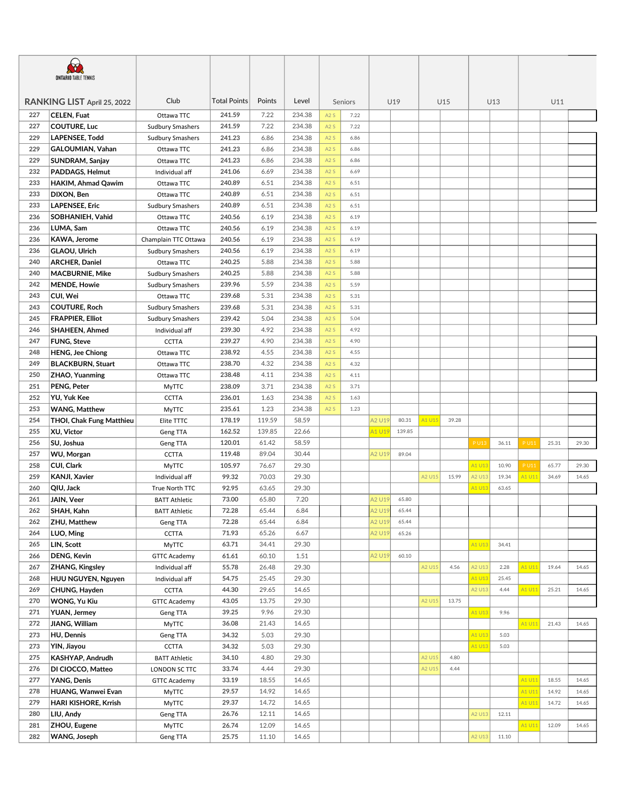| <b>ONTARIO TABLE TENNIS</b> |                                     |                         |                  |                 |                |     |         |        |        |        |       |        |       |             |       |       |
|-----------------------------|-------------------------------------|-------------------------|------------------|-----------------|----------------|-----|---------|--------|--------|--------|-------|--------|-------|-------------|-------|-------|
|                             | RANKING LIST April 25, 2022         | Club                    | Total Points     | Points          | Level          |     | Seniors |        | U19    |        | U15   |        | U13   | U11         |       |       |
| 227                         | CELEN, Fuat                         | Ottawa TTC              | 241.59           | 7.22            | 234.38         | A2S | 7.22    |        |        |        |       |        |       |             |       |       |
| 227                         | <b>COUTURE, Luc</b>                 | <b>Sudbury Smashers</b> | 241.59           | 7.22            | 234.38         | A2S | 7.22    |        |        |        |       |        |       |             |       |       |
| 229                         | LAPENSEE, Todd                      | <b>Sudbury Smashers</b> | 241.23           | 6.86            | 234.38         | A2S | 6.86    |        |        |        |       |        |       |             |       |       |
| 229                         | GALOUMIAN, Vahan                    | Ottawa TTC              | 241.23           | 6.86            | 234.38         | A2S | 6.86    |        |        |        |       |        |       |             |       |       |
| 229                         | SUNDRAM, Sanjay                     | Ottawa TTC              | 241.23           | 6.86            | 234.38         | A2S | 6.86    |        |        |        |       |        |       |             |       |       |
| 232                         | PADDAGS, Helmut                     | Individual aff          | 241.06           | 6.69            | 234.38         | A2S | 6.69    |        |        |        |       |        |       |             |       |       |
| 233                         | HAKIM, Ahmad Qawim                  | Ottawa TTC              | 240.89           | 6.51            | 234.38         | A2S | 6.51    |        |        |        |       |        |       |             |       |       |
| 233                         | DIXON, Ben                          | Ottawa TTC              | 240.89           | 6.51            | 234.38         | A2S | 6.51    |        |        |        |       |        |       |             |       |       |
| 233                         | <b>LAPENSEE, Eric</b>               | <b>Sudbury Smashers</b> | 240.89           | 6.51            | 234.38         | A2S | 6.51    |        |        |        |       |        |       |             |       |       |
| 236                         | SOBHANIEH, Vahid                    | Ottawa TTC              | 240.56           | 6.19            | 234.38         | A2S | 6.19    |        |        |        |       |        |       |             |       |       |
| 236                         | LUMA, Sam                           | Ottawa TTC              | 240.56           | 6.19            | 234.38         | A2S | 6.19    |        |        |        |       |        |       |             |       |       |
| 236                         | KAWA, Jerome                        | Champlain TTC Ottawa    | 240.56           | 6.19            | 234.38         | A2S | 6.19    |        |        |        |       |        |       |             |       |       |
| 236                         | GLAOU, Ulrich                       | <b>Sudbury Smashers</b> | 240.56           | 6.19            | 234.38         | A2S | 6.19    |        |        |        |       |        |       |             |       |       |
| 240                         | <b>ARCHER, Daniel</b>               | Ottawa TTC              | 240.25           | 5.88            | 234.38         | A2S | 5.88    |        |        |        |       |        |       |             |       |       |
| 240                         | <b>MACBURNIE, Mike</b>              | <b>Sudbury Smashers</b> | 240.25           | 5.88            | 234.38         | A2S | 5.88    |        |        |        |       |        |       |             |       |       |
| 242                         | <b>MENDE, Howie</b>                 | <b>Sudbury Smashers</b> | 239.96           | 5.59            | 234.38         | A2S | 5.59    |        |        |        |       |        |       |             |       |       |
| 243                         | CUI, Wei                            | Ottawa TTC              | 239.68           | 5.31            | 234.38         | A2S | 5.31    |        |        |        |       |        |       |             |       |       |
| 243                         | <b>COUTURE, Roch</b>                | <b>Sudbury Smashers</b> | 239.68           | 5.31            | 234.38         | A2S | 5.31    |        |        |        |       |        |       |             |       |       |
| 245                         | <b>FRAPPIER, Elliot</b>             | <b>Sudbury Smashers</b> | 239.42           | 5.04            | 234.38         | A2S | 5.04    |        |        |        |       |        |       |             |       |       |
| 246                         | <b>SHAHEEN, Ahmed</b>               | Individual aff          | 239.30           | 4.92            | 234.38         | A2S | 4.92    |        |        |        |       |        |       |             |       |       |
| 247                         | <b>FUNG, Steve</b>                  | <b>CCTTA</b>            | 239.27           | 4.90            | 234.38         | A2S | 4.90    |        |        |        |       |        |       |             |       |       |
| 248                         | <b>HENG, Jee Chiong</b>             | Ottawa TTC              | 238.92           | 4.55            | 234.38         | A2S | 4.55    |        |        |        |       |        |       |             |       |       |
| 249                         | <b>BLACKBURN, Stuart</b>            | Ottawa TTC              | 238.70           | 4.32            | 234.38         | A2S | 4.32    |        |        |        |       |        |       |             |       |       |
| 250                         | <b>ZHAO, Yuanming</b>               | Ottawa TTC              | 238.48           | 4.11            | 234.38         | A2S | 4.11    |        |        |        |       |        |       |             |       |       |
| 251                         |                                     |                         | 238.09           | 3.71            | 234.38         | A2S | 3.71    |        |        |        |       |        |       |             |       |       |
| 252                         | PENG, Peter                         | <b>MyTTC</b>            | 236.01           | 1.63            | 234.38         | A2S | 1.63    |        |        |        |       |        |       |             |       |       |
| 253                         | YU, Yuk Kee<br><b>WANG, Matthew</b> | <b>CCTTA</b>            | 235.61           | 1.23            | 234.38         | A2S | 1.23    |        |        |        |       |        |       |             |       |       |
|                             |                                     | <b>MyTTC</b>            |                  | 119.59          | 58.59          |     |         |        | 80.31  |        | 39.28 |        |       |             |       |       |
| 254                         | THOI, Chak Fung Matthieu            | Elite TTTC              | 178.19           |                 |                |     |         | A2 U19 |        | A1 U15 |       |        |       |             |       |       |
| 255<br>256                  | <b>XU, Victor</b>                   | Geng TTA                | 162.52<br>120.01 | 139.85<br>61.42 | 22.66<br>58.59 |     |         | 41 U19 | 139.85 |        |       |        |       |             |       |       |
|                             | SU, Joshua                          | Geng TTA                |                  |                 |                |     |         |        |        |        |       | P U13  | 36.11 | P U11       | 25.31 | 29.30 |
| 257                         | <b>WU, Morgan</b>                   | <b>CCTTA</b>            | 119.48           | 89.04           | 30.44          |     |         | A2 U19 | 89.04  |        |       |        |       |             |       |       |
| 258                         | CUI, Clark                          | <b>MyTTC</b>            | 105.97           | 76.67           | 29.30          |     |         |        |        |        |       | A1 U13 | 10.90 | <b>PU11</b> | 65.77 | 29.30 |
| 259                         | <b>KANJI, Xavier</b>                | Individual aff          | 99.32            | 70.03           | 29.30          |     |         |        |        | A2 U15 | 15.99 | A2 U13 | 19.34 | A1 U1:      | 34.69 | 14.65 |
| 260                         | QIU, Jack                           | True North TTC          | 92.95            | 63.65           | 29.30          |     |         |        |        |        |       | A1 U13 | 63.65 |             |       |       |
| 261                         | JAIN, Veer                          | <b>BATT Athletic</b>    | 73.00            | 65.80           | 7.20           |     |         | A2 U19 | 65.80  |        |       |        |       |             |       |       |
| 262                         | SHAH, Kahn                          | <b>BATT Athletic</b>    | 72.28            | 65.44           | 6.84           |     |         | 42 U19 | 65.44  |        |       |        |       |             |       |       |
| 262                         | ZHU, Matthew                        | Geng TTA                | 72.28            | 65.44           | 6.84           |     |         | A2 U19 | 65.44  |        |       |        |       |             |       |       |
| 264                         | LUO, Ming                           | <b>CCTTA</b>            | 71.93            | 65.26           | 6.67           |     |         | A2 U19 | 65.26  |        |       |        |       |             |       |       |
| 265                         | LIN, Scott                          | <b>MyTTC</b>            | 63.71            | 34.41           | 29.30          |     |         |        |        |        |       | A1 U13 | 34.41 |             |       |       |
| 266                         | <b>DENG, Kevin</b>                  | <b>GTTC Academy</b>     | 61.61            | 60.10           | 1.51           |     |         | A2 U19 | 60.10  |        |       |        |       |             |       |       |
| 267                         | ZHANG, Kingsley                     | Individual aff          | 55.78            | 26.48           | 29.30          |     |         |        |        | A2 U15 | 4.56  | A2 U13 | 2.28  | A1 U11      | 19.64 | 14.65 |
| 268                         | HUU NGUYEN, Nguyen                  | Individual aff          | 54.75            | 25.45           | 29.30          |     |         |        |        |        |       | A1 U13 | 25.45 |             |       |       |
| 269                         | CHUNG, Hayden                       | <b>CCTTA</b>            | 44.30            | 29.65           | 14.65          |     |         |        |        |        |       | A2 U13 | 4.44  | A1 U11      | 25.21 | 14.65 |
| 270                         | <b>WONG, Yu Kiu</b>                 | <b>GTTC Academy</b>     | 43.05            | 13.75           | 29.30          |     |         |        |        | A2 U15 | 13.75 |        |       |             |       |       |
| 271                         | <b>YUAN, Jermey</b>                 | Geng TTA                | 39.25            | 9.96            | 29.30          |     |         |        |        |        |       | A1 U13 | 9.96  |             |       |       |
| 272                         | JIANG, William                      | <b>MyTTC</b>            | 36.08            | 21.43           | 14.65          |     |         |        |        |        |       |        |       | A1 U11      | 21.43 | 14.65 |
| 273                         | HU, Dennis                          | Geng TTA                | 34.32            | 5.03            | 29.30          |     |         |        |        |        |       | A1 U13 | 5.03  |             |       |       |
| 273                         | YIN, Jiayou                         | <b>CCTTA</b>            | 34.32            | 5.03            | 29.30          |     |         |        |        |        |       | A1 U13 | 5.03  |             |       |       |
| 275                         | KASHYAP, Andrudh                    | <b>BATT Athletic</b>    | 34.10            | 4.80            | 29.30          |     |         |        |        | A2 U15 | 4.80  |        |       |             |       |       |
| 276                         | DI CIOCCO, Matteo                   | LONDON SC TTC           | 33.74            | 4.44            | 29.30          |     |         |        |        | A2 U15 | 4.44  |        |       |             |       |       |
| 277                         | YANG, Denis                         | <b>GTTC Academy</b>     | 33.19            | 18.55           | 14.65          |     |         |        |        |        |       |        |       | A1 U11      | 18.55 | 14.65 |
| 278                         | HUANG, Wanwei Evan                  | MyTTC                   | 29.57            | 14.92           | 14.65          |     |         |        |        |        |       |        |       | A1 U11      | 14.92 | 14.65 |
| 279                         | HARI KISHORE, Krrish                | <b>MyTTC</b>            | 29.37            | 14.72           | 14.65          |     |         |        |        |        |       |        |       | A1 U11      | 14.72 | 14.65 |
| 280                         | LIU, Andy                           | Geng TTA                | 26.76            | 12.11           | 14.65          |     |         |        |        |        |       | A2 U13 | 12.11 |             |       |       |
| 281                         | ZHOU, Eugene                        | <b>MyTTC</b>            | 26.74            | 12.09           | 14.65          |     |         |        |        |        |       |        |       | A1 U11      | 12.09 | 14.65 |
| 282                         | WANG, Joseph                        | Geng TTA                | 25.75            | 11.10           | 14.65          |     |         |        |        |        |       | A2 U13 | 11.10 |             |       |       |